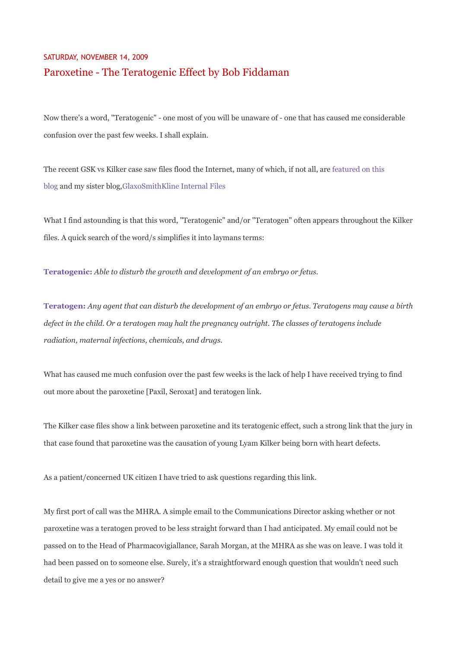# SATURDAY, NOVEMBER 14, 2009 [Paroxetine - The Teratogenic Effect by Bob Fiddaman](http://fiddaman.blogspot.com/2009/11/paroxetine-teratogenic-effect-by-bob.html)

Now there's a word, "Teratogenic" - one most of you will be unaware of - one that has caused me considerable confusion over the past few weeks. I shall explain.

The recent GSK vs Kilker case saw files flood the Internet, many of which, if not all, are [featured on this](http://fiddaman.blogspot.com/2009/10/kilker-v-claxosmithkline-all-documents.html) [blog](http://fiddaman.blogspot.com/2009/10/kilker-v-claxosmithkline-all-documents.html) and my sister blog[,GlaxoSmithKline Internal Files](http://gskfiles.blogspot.com/2009/09/kilker-v-glaxosmithkline-court.html)

What I find astounding is that this word, "Teratogenic" and/or "Teratogen" often appears throughout the Kilker files. A quick search of the word/s simplifies it into laymans terms:

**[Teratogenic:](http://www.medterms.com/script/main/art.asp?articlekey=22266)** *Able to disturb the growth and development of an embryo or fetus.*

**[Teratogen:](http://www.medterms.com/script/main/art.asp?articlekey=11315)** *Any agent that can disturb the development of an embryo or fetus. Teratogens may cause a birth defect in the child. Or a teratogen may halt the pregnancy outright. The classes of teratogens include radiation, maternal infections, chemicals, and drugs*.

What has caused me much confusion over the past few weeks is the lack of help I have received trying to find out more about the paroxetine [Paxil, Seroxat] and teratogen link.

The Kilker case files show a link between paroxetine and its teratogenic effect, such a strong link that the jury in that case found that paroxetine was the causation of young Lyam Kilker being born with heart defects.

As a patient/concerned UK citizen I have tried to ask questions regarding this link.

My first port of call was the MHRA. A simple email to the Communications Director asking whether or not paroxetine was a teratogen proved to be less straight forward than I had anticipated. My email could not be passed on to the Head of Pharmacovigiallance, Sarah Morgan, at the MHRA as she was on leave. I was told it had been passed on to someone else. Surely, it's a straightforward enough question that wouldn't need such detail to give me a yes or no answer?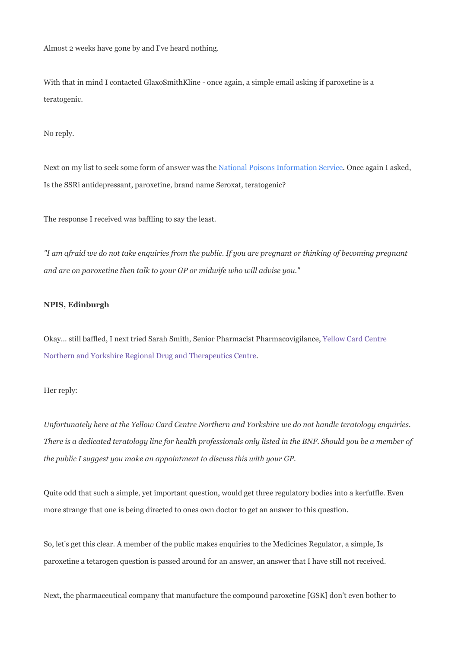Almost 2 weeks have gone by and I've heard nothing.

With that in mind I contacted GlaxoSmithKline - once again, a simple email asking if paroxetine is a teratogenic.

No reply.

Next on my list to seek some form of answer was the [National Poisons Information Service.](http://www.npis.org/) Once again I asked, Is the SSRi antidepressant, paroxetine, brand name Seroxat, teratogenic?

The response I received was baffling to say the least.

*"I am afraid we do not take enquiries from the public. If you are pregnant or thinking of becoming pregnant and are on paroxetine then talk to your GP or midwife who will advise you."*

### **NPIS, Edinburgh**

Okay... still baffled, I next tried Sarah Smith, Senior Pharmacist Pharmacovigilance, [Yellow Card Centre](http://www.nyrdtc.nhs.uk/Services/adr_mon/adr_mon.html) [Northern and Yorkshire Regional Drug and Therapeutics Centre.](http://www.nyrdtc.nhs.uk/Services/adr_mon/adr_mon.html)

### Her reply:

*Unfortunately here at the Yellow Card Centre Northern and Yorkshire we do not handle teratology enquiries. There is a dedicated teratology line for health professionals only listed in the BNF. Should you be a member of the public I suggest you make an appointment to discuss this with your GP*.

Quite odd that such a simple, yet important question, would get three regulatory bodies into a kerfuffle. Even more strange that one is being directed to ones own doctor to get an answer to this question.

So, let's get this clear. A member of the public makes enquiries to the Medicines Regulator, a simple, Is paroxetine a tetarogen question is passed around for an answer, an answer that I have still not received.

Next, the pharmaceutical company that manufacture the compound paroxetine [GSK] don't even bother to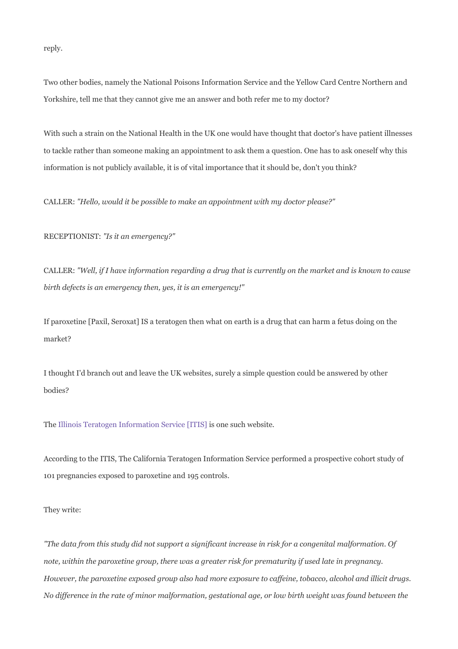reply.

Two other bodies, namely the National Poisons Information Service and the Yellow Card Centre Northern and Yorkshire, tell me that they cannot give me an answer and both refer me to my doctor?

With such a strain on the National Health in the UK one would have thought that doctor's have patient illnesses to tackle rather than someone making an appointment to ask them a question. One has to ask oneself why this information is not publicly available, it is of vital importance that it should be, don't you think?

CALLER: *"Hello, would it be possible to make an appointment with my doctor please?"*

RECEPTIONIST: *"Is it an emergency?"*

CALLER: *"Well, if I have information regarding a drug that is currently on the market and is known to cause birth defects is an emergency then, yes, it is an emergency!"*

If paroxetine [Paxil, Seroxat] IS a teratogen then what on earth is a drug that can harm a fetus doing on the market?

I thought I'd branch out and leave the UK websites, surely a simple question could be answered by other bodies?

The Illinois [Teratogen Information Service \[ITIS\]](http://www.fetal-exposure.org/resources/index.php/2001/01/01/updates-presented-at-the-organization-of-teratology-services-14th-annual-conference-2001/) is one such website.

According to the ITIS, The California Teratogen Information Service performed a prospective cohort study of 101 pregnancies exposed to paroxetine and 195 controls.

They write:

*"The data from this study did not support a significant increase in risk for a congenital malformation. Of note, within the paroxetine group, there was a greater risk for prematurity if used late in pregnancy. However, the paroxetine exposed group also had more exposure to caffeine, tobacco, alcohol and illicit drugs. No difference in the rate of minor malformation, gestational age, or low birth weight was found between the*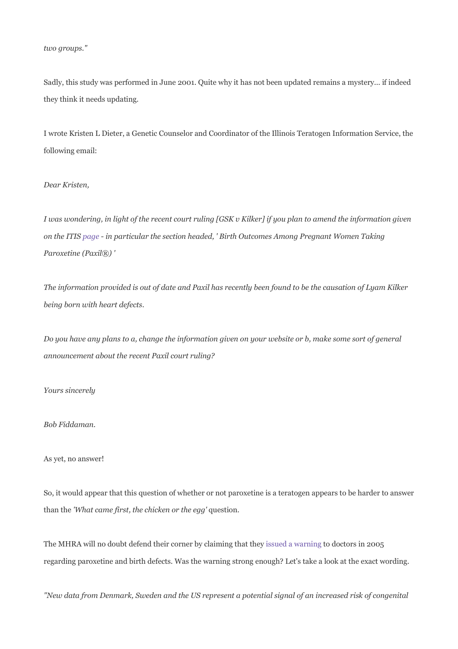### *two groups."*

Sadly, this study was performed in June 2001. Quite why it has not been updated remains a mystery... if indeed they think it needs updating.

I wrote Kristen L Dieter, a Genetic Counselor and Coordinator of the Illinois Teratogen Information Service, the following email:

### *Dear Kristen,*

*I was wondering, in light of the recent court ruling [GSK v Kilker] if you plan to amend the information given on the ITIS [page](http://www.fetal-exposure.org/resources/index.php/2001/01/01/updates-presented-at-the-organization-of-teratology-services-14th-annual-conference-2001/) - in particular the section headed, ' Birth Outcomes Among Pregnant Women Taking Paroxetine (Paxil®) '*

*The information provided is out of date and Paxil has recently been found to be the causation of Lyam Kilker being born with heart defects.*

*Do you have any plans to a, change the information given on your website or b, make some sort of general announcement about the recent Paxil court ruling?*

### *Yours sincerely*

### *Bob Fiddaman.*

### As yet, no answer!

So, it would appear that this question of whether or not paroxetine is a teratogen appears to be harder to answer than the *'What came first, the chicken or the egg'* question.

The MHRA will no doubt defend their corner by claiming that they issued a [warning](http://www.mhra.gov.uk/Safetyinformation/Safetywarningsalertsandrecalls/Safetywarningsandmessagesformedicines/CON2022698) to doctors in 2005 regarding paroxetine and birth defects. Was the warning strong enough? Let's take a look at the exact wording.

*"New data from Denmark, Sweden and the US represent a potential signal of an increased risk of congenital*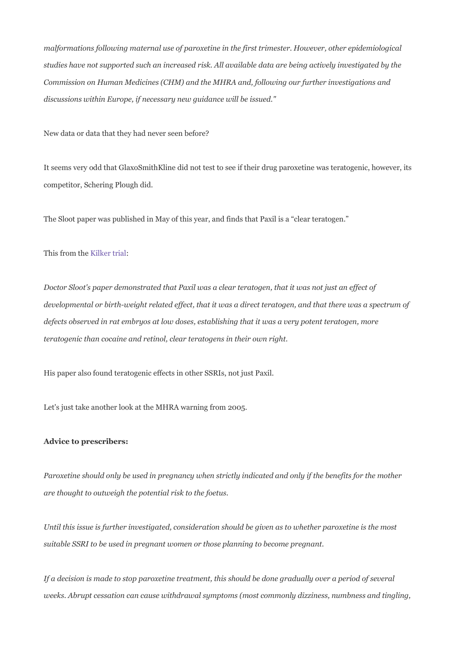*malformations following maternal use of paroxetine in the first trimester. However, other epidemiological studies have not supported such an increased risk. All available data are being actively investigated by the Commission on Human Medicines (CHM) and the MHRA and, following our further investigations and discussions within Europe, if necessary new guidance will be issued."*

New data or data that they had never seen before?

It seems very odd that GlaxoSmithKline did not test to see if their drug paroxetine was teratogenic, however, its competitor, Schering Plough did.

The Sloot paper was published in May of this year, and finds that Paxil is a "clear teratogen."

### This from the [Kilker](http://www.baumhedlundlaw.com/paxil_birth_defect_trials/kilker_transcripts/092109_am_kramer_direct.pdf) trial:

*Doctor Sloot's paper demonstrated that Paxil was a clear teratogen, that it was not just an effect of developmental or birth-weight related effect, that it was a direct teratogen, and that there was a spectrum of defects observed in rat embryos at low doses, establishing that it was a very potent teratogen, more teratogenic than cocaine and retinol, clear teratogens in their own right.*

His paper also found teratogenic effects in other SSRIs, not just Paxil.

Let's just take another look at the MHRA warning from 2005.

### **Advice to prescribers:**

*Paroxetine should only be used in pregnancy when strictly indicated and only if the benefits for the mother are thought to outweigh the potential risk to the foetus.*

*Until this issue is further investigated, consideration should be given as to whether paroxetine is the most suitable SSRI to be used in pregnant women or those planning to become pregnant.*

*If a decision is made to stop paroxetine treatment, this should be done gradually over a period of several weeks. Abrupt cessation can cause withdrawal symptoms (most commonly dizziness, numbness and tingling,*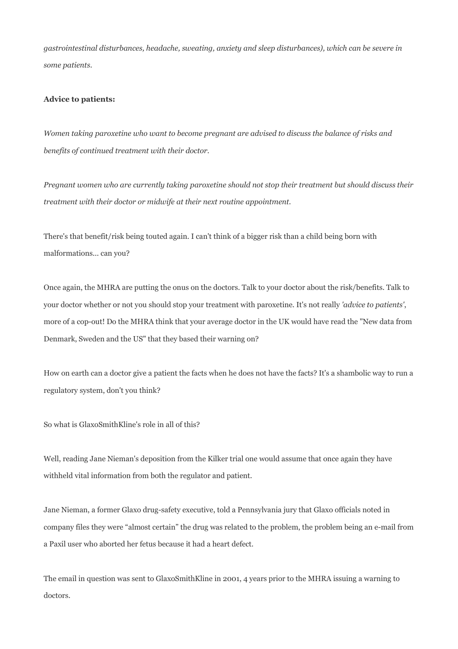*gastrointestinal disturbances, headache, sweating, anxiety and sleep disturbances), which can be severe in some patients.*

### **Advice to patients:**

*Women taking paroxetine who want to become pregnant are advised to discuss the balance of risks and benefits of continued treatment with their doctor.*

*Pregnant women who are currently taking paroxetine should not stop their treatment but should discuss their treatment with their doctor or midwife at their next routine appointment.*

There's that benefit/risk being touted again. I can't think of a bigger risk than a child being born with malformations... can you?

Once again, the MHRA are putting the onus on the doctors. Talk to your doctor about the risk/benefits. Talk to your doctor whether or not you should stop your treatment with paroxetine. It's not really *'advice to patients'*, more of a cop-out! Do the MHRA think that your average doctor in the UK would have read the "New data from Denmark, Sweden and the US" that they based their warning on?

How on earth can a doctor give a patient the facts when he does not have the facts? It's a shambolic way to run a regulatory system, don't you think?

So what is GlaxoSmithKline's role in all of this?

Well, reading Jane Nieman's deposition from the Kilker trial one would assume that once again they have withheld vital information from both the regulator and patient.

Jane Nieman, a former Glaxo drug-safety executive, told a Pennsylvania jury that Glaxo officials noted in company files they were "almost certain" the drug was related to the problem, the problem being an e-mail from a Paxil user who aborted her fetus because it had a heart defect.

The email in question was sent to GlaxoSmithKline in 2001, 4 years prior to the MHRA issuing a warning to doctors.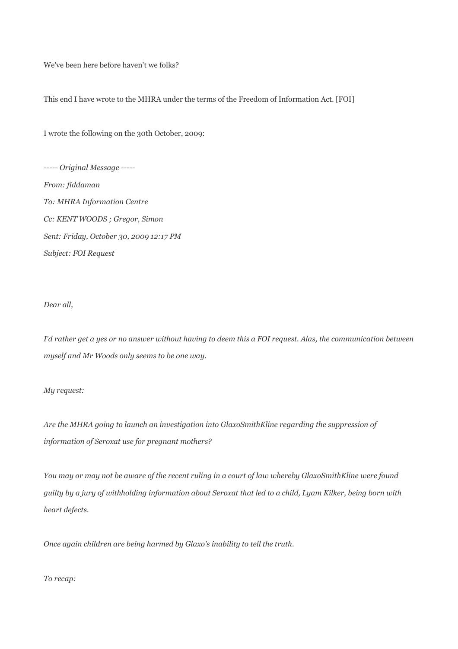We've been here before haven't we folks?

This end I have wrote to the MHRA under the terms of the Freedom of Information Act. [FOI]

I wrote the following on the 30th October, 2009:

*----- Original Message ----- From: fiddaman To: MHRA Information Centre Cc: KENT WOODS ; Gregor, Simon Sent: Friday, October 30, 2009 12:17 PM Subject: FOI Request*

*Dear all,*

*I'd rather get a yes or no answer without having to deem this a FOI request. Alas, the communication between myself and Mr Woods only seems to be one way.*

*My request:*

*Are the MHRA going to launch an investigation into GlaxoSmithKline regarding the suppression of information of Seroxat use for pregnant mothers?*

*You may or may not be aware of the recent ruling in a court of law whereby GlaxoSmithKline were found guilty by a jury of withholding information about Seroxat that led to a child, Lyam Kilker, being born with heart defects.*

*Once again children are being harmed by Glaxo's inability to tell the truth.*

*To recap:*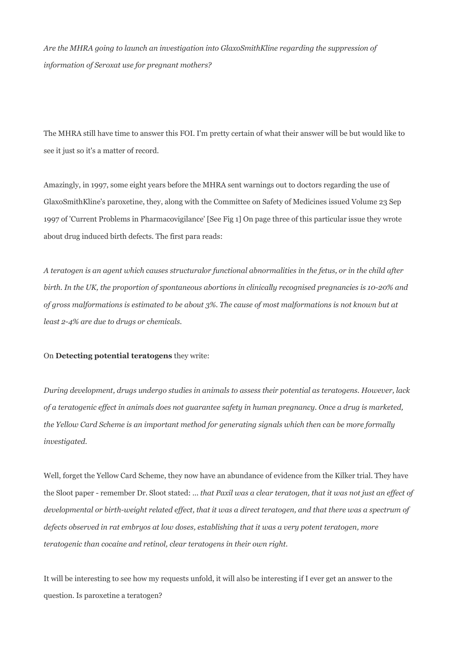*Are the MHRA going to launch an investigation into GlaxoSmithKline regarding the suppression of information of Seroxat use for pregnant mothers?*

The MHRA still have time to answer this FOI. I'm pretty certain of what their answer will be but would like to see it just so it's a matter of record.

Amazingly, in 1997, some eight years before the MHRA sent warnings out to doctors regarding the use of GlaxoSmithKline's paroxetine, they, along with the Committee on Safety of Medicines issued Volume 23 Sep 1997 of 'Current Problems in Pharmacovigilance' [See Fig 1] On page three of this particular issue they wrote about drug induced birth defects. The first para reads:

*A teratogen is an agent which causes structuralor functional abnormalities in the fetus, or in the child after birth. In the UK, the proportion of spontaneous abortions in clinically recognised pregnancies is 10-20% and of gross malformations is estimated to be about 3%. The cause of most malformations is not known but at least 2-4% are due to drugs or chemicals.*

### On **Detecting potential teratogens** they write:

*During development, drugs undergo studies in animals to assess their potential as teratogens. However, lack of a teratogenic effect in animals does not guarantee safety in human pregnancy. Once a drug is marketed, the Yellow Card Scheme is an important method for generating signals which then can be more formally investigated.*

Well, forget the Yellow Card Scheme, they now have an abundance of evidence from the Kilker trial. They have the Sloot paper - remember Dr. Sloot stated: ... *that Paxil was a clear teratogen, that it was not just an effect of developmental or birth-weight related effect, that it was a direct teratogen, and that there was a spectrum of defects observed in rat embryos at low doses, establishing that it was a very potent teratogen, more teratogenic than cocaine and retinol, clear teratogens in their own right.*

It will be interesting to see how my requests unfold, it will also be interesting if I ever get an answer to the question. Is paroxetine a teratogen?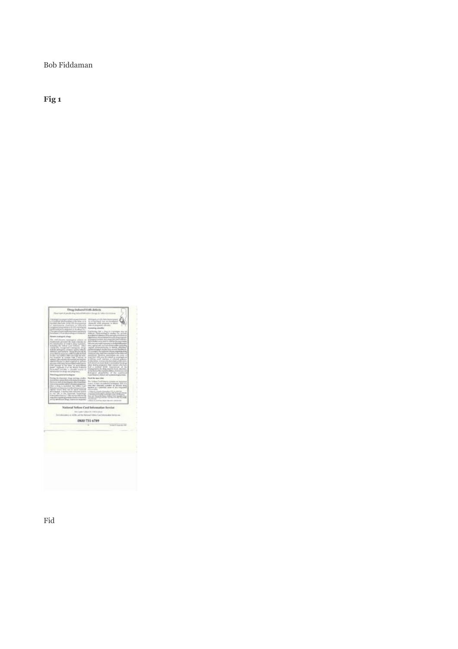Bob Fiddaman

**Fig 1**



Fid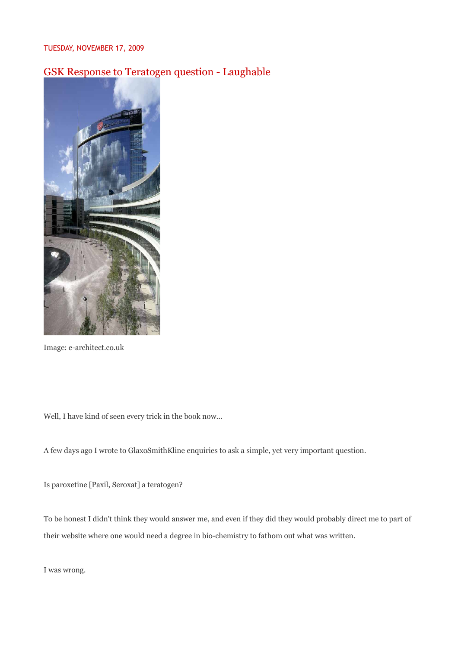### TUESDAY, NOVEMBER 17, 2009

# GSK Response [to Teratogen question -](http://fiddaman.blogspot.com/2009/11/gsk-response-to-teratogen-question.html) Laughable



Image: e-architect.co.uk

Well, I have kind of seen every trick in the book now...

A few days ago I wrote to GlaxoSmithKline enquiries to ask a simple, yet very important question.

Is paroxetine [Paxil, Seroxat] a teratogen?

To be honest I didn't think they would answer me, and even if they did they would probably direct me to part of their website where one would need a degree in bio-chemistry to fathom out what was written.

I was wrong.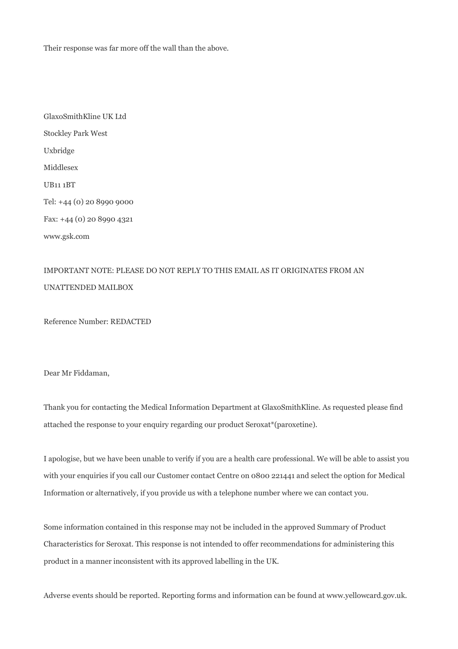Their response was far more off the wall than the above.

GlaxoSmithKline UK Ltd Stockley Park West Uxbridge Middlesex UB11 1BT Tel: +44 (0) 20 8990 9000 Fax: +44 (0) 20 8990 4321 www.gsk.com

# IMPORTANT NOTE: PLEASE DO NOT REPLY TO THIS EMAIL AS IT ORIGINATES FROM AN UNATTENDED MAILBOX

Reference Number: REDACTED

Dear Mr Fiddaman,

Thank you for contacting the Medical Information Department at GlaxoSmithKline. As requested please find attached the response to your enquiry regarding our product Seroxat\*(paroxetine).

I apologise, but we have been unable to verify if you are a health care professional. We will be able to assist you with your enquiries if you call our Customer contact Centre on 0800 221441 and select the option for Medical Information or alternatively, if you provide us with a telephone number where we can contact you.

Some information contained in this response may not be included in the approved Summary of Product Characteristics for Seroxat. This response is not intended to offer recommendations for administering this product in a manner inconsistent with its approved labelling in the UK.

Adverse events should be reported. Reporting forms and information can be found at www.yellowcard.gov.uk.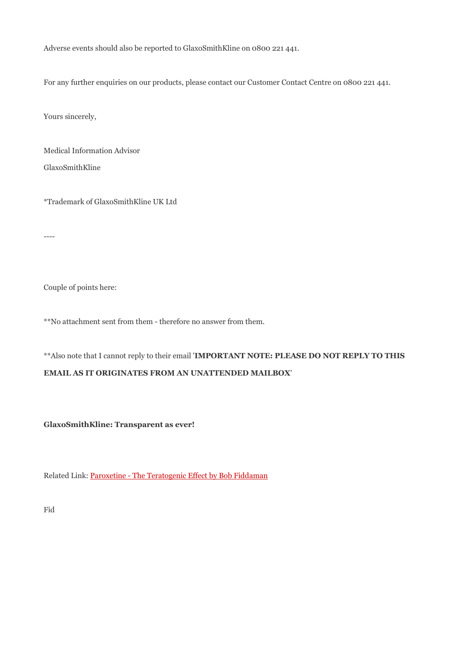Adverse events should also be reported to GlaxoSmithKline on 0800 221 441.

For any further enquiries on our products, please contact our Customer Contact Centre on 0800 221 441.

Yours sincerely,

Medical Information Advisor

GlaxoSmithKline

\*Trademark of GlaxoSmithKline UK Ltd

----

Couple of points here:

\*\*No attachment sent from them - therefore no answer from them.

\*\*Also note that I cannot reply to their email '**IMPORTANT NOTE: PLEASE DO NOT REPLY TO THIS**

### **EMAIL AS IT ORIGINATES FROM AN UNATTENDED MAILBOX**'

**GlaxoSmithKline: Transparent as ever!**

Related Link: [Paroxetine - The Teratogenic Effect by Bob Fiddaman](http://fiddaman.blogspot.com/2009/11/paroxetine-teratogenic-effect-by-bob.html)

Fid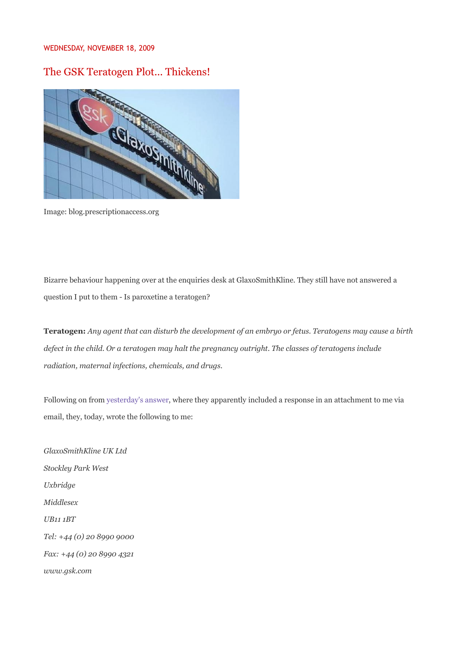### WEDNESDAY, NOVEMBER 18, 2009

# [The GSK Teratogen Plot...](http://fiddaman.blogspot.com/2009/11/gsk-teratogen-plot-thickens.html) Thickens!



Image: blog.prescriptionaccess.org

Bizarre behaviour happening over at the enquiries desk at GlaxoSmithKline. They still have not answered a question I put to them - Is paroxetine a teratogen?

**Teratogen:** *Any agent that can disturb the development of an embryo or fetus. Teratogens may cause a birth defect in the child. Or a teratogen may halt the pregnancy outright. The classes of teratogens include radiation, maternal infections, chemicals, and drugs.*

Following on from [yesterday's](http://fiddaman.blogspot.com/2009/11/gsk-response-to-teratogen-question.html) answer, where they apparently included a response in an attachment to me via email, they, today, wrote the following to me:

*GlaxoSmithKline UK Ltd Stockley Park West Uxbridge Middlesex UB11 1BT Tel: +44 (0) 20 8990 9000 Fax: +44 (0) 20 8990 4321 www.gsk.com*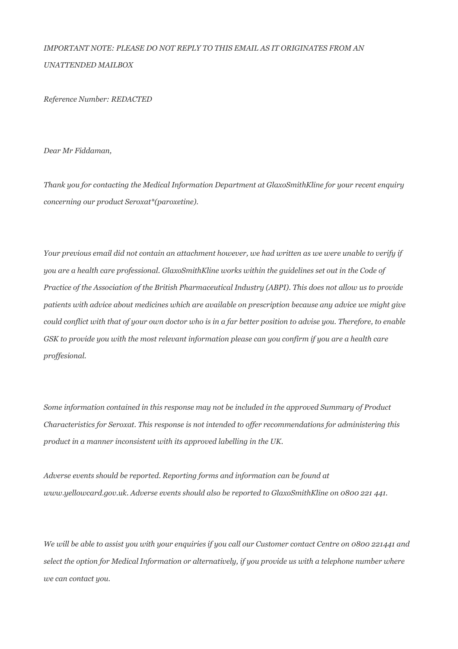## *IMPORTANT NOTE: PLEASE DO NOT REPLY TO THIS EMAIL AS IT ORIGINATES FROM AN UNATTENDED MAILBOX*

*Reference Number: REDACTED*

*Dear Mr Fiddaman,*

*Thank you for contacting the Medical Information Department at GlaxoSmithKline for your recent enquiry concerning our product Seroxat\*(paroxetine).*

*Your previous email did not contain an attachment however, we had written as we were unable to verify if you are a health care professional. GlaxoSmithKline works within the guidelines set out in the Code of Practice of the Association of the British Pharmaceutical Industry (ABPI). This does not allow us to provide patients with advice about medicines which are available on prescription because any advice we might give could conflict with that of your own doctor who is in a far better position to advise you. Therefore, to enable GSK to provide you with the most relevant information please can you confirm if you are a health care proffesional.*

*Some information contained in this response may not be included in the approved Summary of Product Characteristics for Seroxat. This response is not intended to offer recommendations for administering this product in a manner inconsistent with its approved labelling in the UK.*

*Adverse events should be reported. Reporting forms and information can be found at www.yellowcard.gov.uk. Adverse events should also be reported to GlaxoSmithKline on 0800 221 441.*

*We will be able to assist you with your enquiries if you call our Customer contact Centre on 0800 221441 and select the option for Medical Information or alternatively, if you provide us with a telephone number where we can contact you.*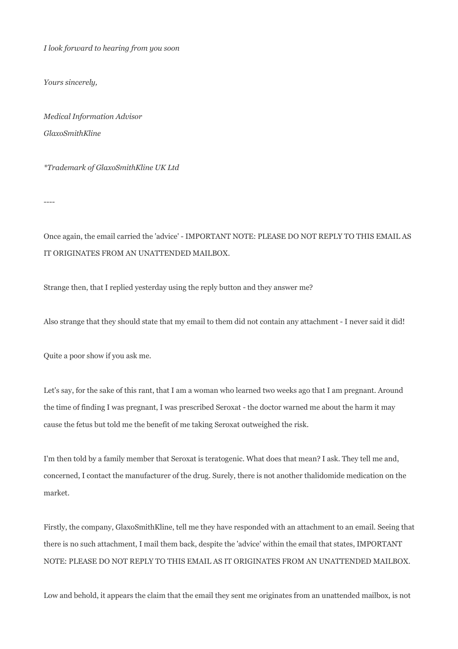*I look forward to hearing from you soon*

*Yours sincerely,*

*Medical Information Advisor GlaxoSmithKline*

*\*Trademark of GlaxoSmithKline UK Ltd*

----

Once again, the email carried the 'advice' - IMPORTANT NOTE: PLEASE DO NOT REPLY TO THIS EMAIL AS IT ORIGINATES FROM AN UNATTENDED MAILBOX.

Strange then, that I replied yesterday using the reply button and they answer me?

Also strange that they should state that my email to them did not contain any attachment - I never said it did!

Quite a poor show if you ask me.

Let's say, for the sake of this rant, that I am a woman who learned two weeks ago that I am pregnant. Around the time of finding I was pregnant, I was prescribed Seroxat - the doctor warned me about the harm it may cause the fetus but told me the benefit of me taking Seroxat outweighed the risk.

I'm then told by a family member that Seroxat is teratogenic. What does that mean? I ask. They tell me and, concerned, I contact the manufacturer of the drug. Surely, there is not another thalidomide medication on the market.

Firstly, the company, GlaxoSmithKline, tell me they have responded with an attachment to an email. Seeing that there is no such attachment, I mail them back, despite the 'advice' within the email that states, IMPORTANT NOTE: PLEASE DO NOT REPLY TO THIS EMAIL AS IT ORIGINATES FROM AN UNATTENDED MAILBOX.

Low and behold, it appears the claim that the email they sent me originates from an unattended mailbox, is not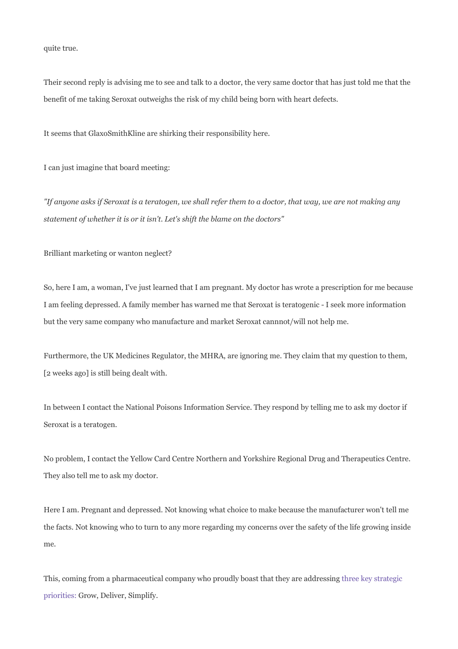quite true.

Their second reply is advising me to see and talk to a doctor, the very same doctor that has just told me that the benefit of me taking Seroxat outweighs the risk of my child being born with heart defects.

It seems that GlaxoSmithKline are shirking their responsibility here.

I can just imagine that board meeting:

*"If anyone asks if Seroxat is a teratogen, we shall refer them to a doctor, that way, we are not making any statement of whether it is or it isn't. Let's shift the blame on the doctors"*

Brilliant marketing or wanton neglect?

So, here I am, a woman, I've just learned that I am pregnant. My doctor has wrote a prescription for me because I am feeling depressed. A family member has warned me that Seroxat is teratogenic - I seek more information but the very same company who manufacture and market Seroxat cannnot/will not help me.

Furthermore, the UK Medicines Regulator, the MHRA, are ignoring me. They claim that my question to them, [2 weeks ago] is still being dealt with.

In between I contact the National Poisons Information Service. They respond by telling me to ask my doctor if Seroxat is a teratogen.

No problem, I contact the Yellow Card Centre Northern and Yorkshire Regional Drug and Therapeutics Centre. They also tell me to ask my doctor.

Here I am. Pregnant and depressed. Not knowing what choice to make because the manufacturer won't tell me the facts. Not knowing who to turn to any more regarding my concerns over the safety of the life growing inside me.

This, coming from a pharmaceutical company who proudly boast that they are addressing [three key strategic](http://www.gsk.com/mission-strategy/index.htm) [priorities:](http://www.gsk.com/mission-strategy/index.htm) Grow, Deliver, Simplify.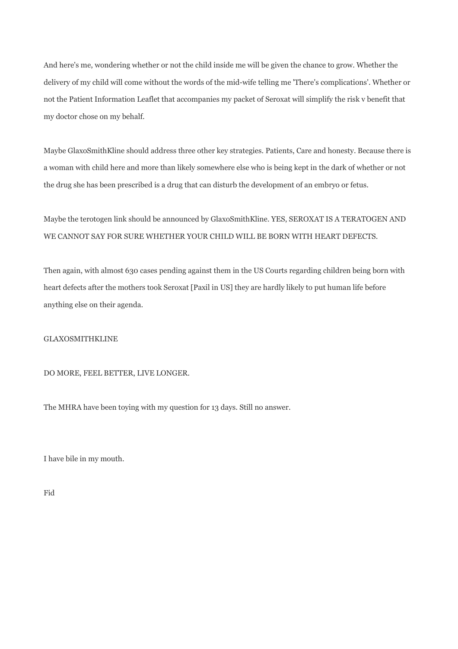And here's me, wondering whether or not the child inside me will be given the chance to grow. Whether the delivery of my child will come without the words of the mid-wife telling me 'There's complications'. Whether or not the Patient Information Leaflet that accompanies my packet of Seroxat will simplify the risk v benefit that my doctor chose on my behalf.

Maybe GlaxoSmithKline should address three other key strategies. Patients, Care and honesty. Because there is a woman with child here and more than likely somewhere else who is being kept in the dark of whether or not the drug she has been prescribed is a drug that can disturb the development of an embryo or fetus.

# Maybe the terotogen link should be announced by GlaxoSmithKline. YES, SEROXAT IS A TERATOGEN AND WE CANNOT SAY FOR SURE WHETHER YOUR CHILD WILL BE BORN WITH HEART DEFECTS.

Then again, with almost 630 cases pending against them in the US Courts regarding children being born with heart defects after the mothers took Seroxat [Paxil in US] they are hardly likely to put human life before anything else on their agenda.

### GLAXOSMITHKLINE

### DO MORE, FEEL BETTER, LIVE LONGER.

The MHRA have been toying with my question for 13 days. Still no answer.

I have bile in my mouth.

Fid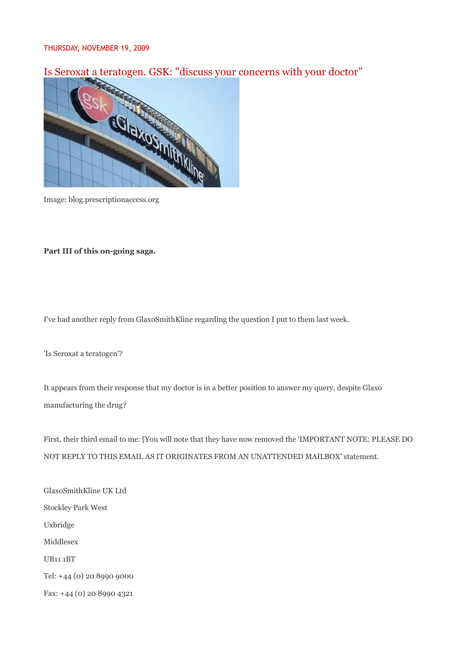### THURSDAY, NOVEMBER 19, 2009

### [Is Seroxat a teratogen. GSK:](http://fiddaman.blogspot.com/2009/11/is-seroxat-teratogen-gsk-discuss-your.html) "discuss your concerns with your doctor"



Image: blog.prescriptionaccess.org

### **Part III of this on-going saga.**

I've had another reply from GlaxoSmithKline regarding the question I put to them last week.

'Is Seroxat a teratogen'?

It appears from their response that my doctor is in a better position to answer my query, despite Glaxo manufacturing the drug?

First, their third email to me: [You will note that they have now removed the 'IMPORTANT NOTE: PLEASE DO NOT REPLY TO THIS EMAIL AS IT ORIGINATES FROM AN UNATTENDED MAILBOX' statement.

GlaxoSmithKline UK Ltd Stockley Park West Uxbridge Middlesex UB11 1BT Tel: +44 (0) 20 8990 9000 Fax: +44 (0) 20 8990 4321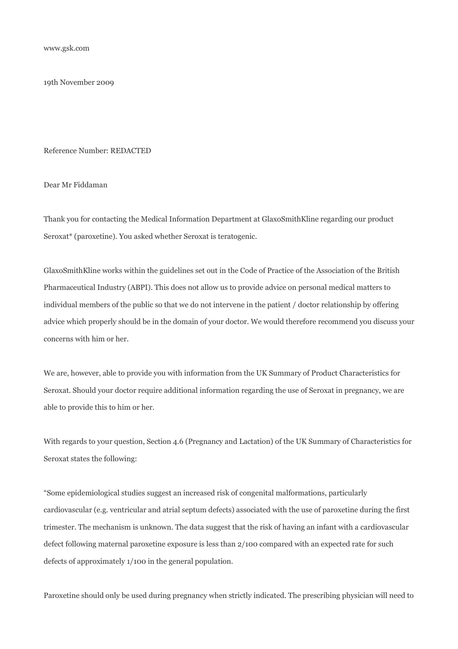www.gsk.com

19th November 2009

### Reference Number: REDACTED

Dear Mr Fiddaman

Thank you for contacting the Medical Information Department at GlaxoSmithKline regarding our product Seroxat\* (paroxetine). You asked whether Seroxat is teratogenic.

GlaxoSmithKline works within the guidelines set out in the Code of Practice of the Association of the British Pharmaceutical Industry (ABPI). This does not allow us to provide advice on personal medical matters to individual members of the public so that we do not intervene in the patient / doctor relationship by offering advice which properly should be in the domain of your doctor. We would therefore recommend you discuss your concerns with him or her.

We are, however, able to provide you with information from the UK Summary of Product Characteristics for Seroxat. Should your doctor require additional information regarding the use of Seroxat in pregnancy, we are able to provide this to him or her.

With regards to your question, Section 4.6 (Pregnancy and Lactation) of the UK Summary of Characteristics for Seroxat states the following:

"Some epidemiological studies suggest an increased risk of congenital malformations, particularly cardiovascular (e.g. ventricular and atrial septum defects) associated with the use of paroxetine during the first trimester. The mechanism is unknown. The data suggest that the risk of having an infant with a cardiovascular defect following maternal paroxetine exposure is less than 2/100 compared with an expected rate for such defects of approximately 1/100 in the general population.

Paroxetine should only be used during pregnancy when strictly indicated. The prescribing physician will need to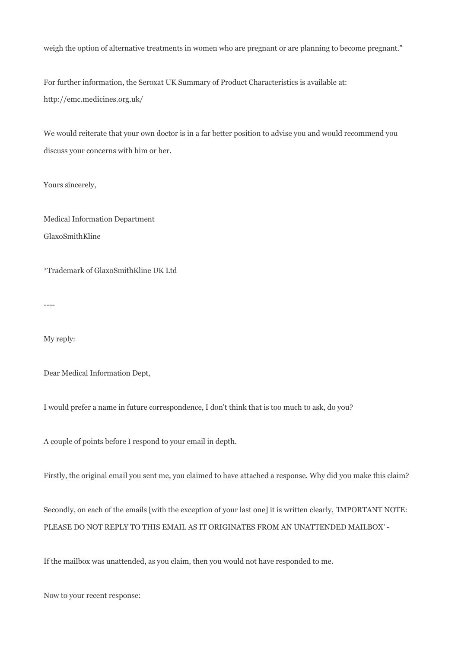weigh the option of alternative treatments in women who are pregnant or are planning to become pregnant."

For further information, the Seroxat UK Summary of Product Characteristics is available at: http://emc.medicines.org.uk/

We would reiterate that your own doctor is in a far better position to advise you and would recommend you discuss your concerns with him or her.

Yours sincerely,

Medical Information Department GlaxoSmithKline

\*Trademark of GlaxoSmithKline UK Ltd

----

My reply:

Dear Medical Information Dept,

I would prefer a name in future correspondence, I don't think that is too much to ask, do you?

A couple of points before I respond to your email in depth.

Firstly, the original email you sent me, you claimed to have attached a response. Why did you make this claim?

Secondly, on each of the emails [with the exception of your last one] it is written clearly, 'IMPORTANT NOTE: PLEASE DO NOT REPLY TO THIS EMAIL AS IT ORIGINATES FROM AN UNATTENDED MAILBOX' -

If the mailbox was unattended, as you claim, then you would not have responded to me.

Now to your recent response: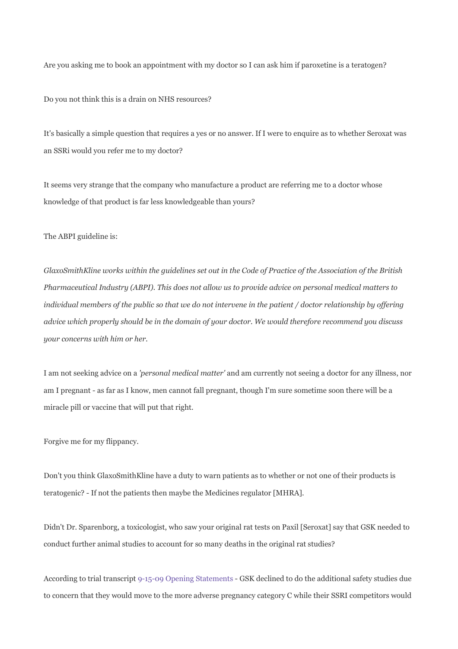Are you asking me to book an appointment with my doctor so I can ask him if paroxetine is a teratogen?

Do you not think this is a drain on NHS resources?

It's basically a simple question that requires a yes or no answer. If I were to enquire as to whether Seroxat was an SSRi would you refer me to my doctor?

It seems very strange that the company who manufacture a product are referring me to a doctor whose knowledge of that product is far less knowledgeable than yours?

The ABPI guideline is:

*GlaxoSmithKline works within the guidelines set out in the Code of Practice of the Association of the British Pharmaceutical Industry (ABPI). This does not allow us to provide advice on personal medical matters to individual members of the public so that we do not intervene in the patient / doctor relationship by offering advice which properly should be in the domain of your doctor. We would therefore recommend you discuss your concerns with him or her.*

I am not seeking advice on a *'personal medical matter'* and am currently not seeing a doctor for any illness, nor am I pregnant - as far as I know, men cannot fall pregnant, though I'm sure sometime soon there will be a miracle pill or vaccine that will put that right.

Forgive me for my flippancy.

Don't you think GlaxoSmithKline have a duty to warn patients as to whether or not one of their products is teratogenic? - If not the patients then maybe the Medicines regulator [MHRA].

Didn't Dr. Sparenborg, a toxicologist, who saw your original rat tests on Paxil [Seroxat] say that GSK needed to conduct further animal studies to account for so many deaths in the original rat studies?

According to trial transcript [9-15-09 Opening Statements](http://www.paxil-litigation.com/documents/Openingclosing/Opening-statements_091509KilkerAM.pdf) - GSK declined to do the additional safety studies due to concern that they would move to the more adverse pregnancy category C while their SSRI competitors would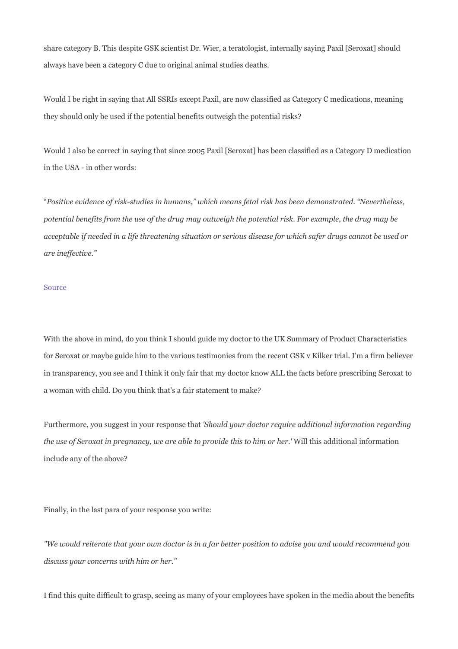share category B. This despite GSK scientist Dr. Wier, a teratologist, internally saying Paxil [Seroxat] should always have been a category C due to original animal studies deaths.

Would I be right in saying that All SSRIs except Paxil, are now classified as Category C medications, meaning they should only be used if the potential benefits outweigh the potential risks?

Would I also be correct in saying that since 2005 Paxil [Seroxat] has been classified as a Category D medication in the USA - in other words:

"*Positive evidence of risk-studies in humans," which means fetal risk has been demonstrated. "Nevertheless, potential benefits from the use of the drug may outweigh the potential risk. For example, the drug may be acceptable if needed in a life threatening situation or serious disease for which safer drugs cannot be used or are ineffective."*

#### [Source](http://www.americanpregnancy.org/pregnancyhealth/fdadrugratings.html)

With the above in mind, do you think I should guide my doctor to the UK Summary of Product Characteristics for Seroxat or maybe guide him to the various testimonies from the recent GSK v Kilker trial. I'm a firm believer in transparency, you see and I think it only fair that my doctor know ALL the facts before prescribing Seroxat to a woman with child. Do you think that's a fair statement to make?

Furthermore, you suggest in your response that *'Should your doctor require additional information regarding the use of Seroxat in pregnancy, we are able to provide this to him or her.'* Will this additional information include any of the above?

Finally, in the last para of your response you write:

*"We would reiterate that your own doctor is in a far better position to advise you and would recommend you discuss your concerns with him or her."*

I find this quite difficult to grasp, seeing as many of your employees have spoken in the media about the benefits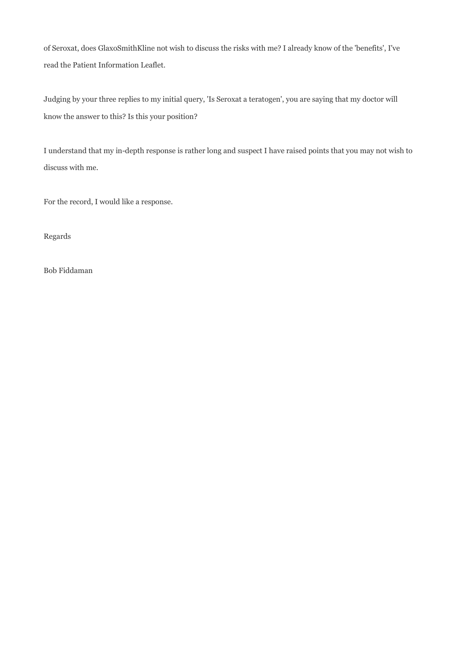of Seroxat, does GlaxoSmithKline not wish to discuss the risks with me? I already know of the 'benefits', I've read the Patient Information Leaflet.

Judging by your three replies to my initial query, 'Is Seroxat a teratogen', you are saying that my doctor will know the answer to this? Is this your position?

I understand that my in-depth response is rather long and suspect I have raised points that you may not wish to discuss with me.

For the record, I would like a response.

Regards

Bob Fiddaman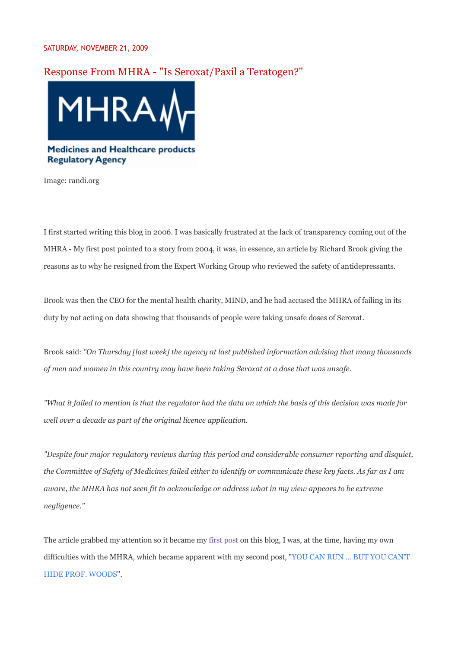### SATURDAY, NOVEMBER 21, 2009

### Response [From MHRA - "Is Seroxat/Paxil a Teratogen?"](http://fiddaman.blogspot.com/2009/11/response-from-mhra-is-seroxatpaxil.html)



### **Medicines and Healthcare products Regulatory Agency**

Image: randi.org

I first started writing this blog in 2006. I was basically frustrated at the lack of transparency coming out of the MHRA - My first post pointed to a story from 2004, it was, in essence, an article by Richard Brook giving the reasons as to why he resigned from the Expert Working Group who reviewed the safety of antidepressants.

Brook was then the CEO for the mental health charity, MIND, and he had accused the MHRA of failing in its duty by not acting on data showing that thousands of people were taking unsafe doses of Seroxat.

Brook said: *"On Thursday [last week] the agency at last published information advising that many thousands of men and women in this country may have been taking Seroxat at a dose that was unsafe.*

*"What it failed to mention is that the regulator had the data on which the basis of this decision was made for well over a decade as part of the original licence application.*

*"Despite four major regulatory reviews during this period and considerable consumer reporting and disquiet, the Committee of Safety of Medicines failed either to identify or communicate these key facts. As far as I am aware, the MHRA has not seen fit to acknowledge or address what in my view appears to be extreme negligence."*

The article grabbed my attention so it became my [first post](http://fiddaman.blogspot.com/2006_04_07_archive.html) on this blog, I was, at the time, having my own difficulties with the MHRA, which became apparent with my second post, ["YOU CAN RUN ...](http://fiddaman.blogspot.com/2006/04/you-can-run-but-you-cant-hide-prof.html) BUT YOU CAN'T [HIDE PROF. WOODS"](http://fiddaman.blogspot.com/2006/04/you-can-run-but-you-cant-hide-prof.html).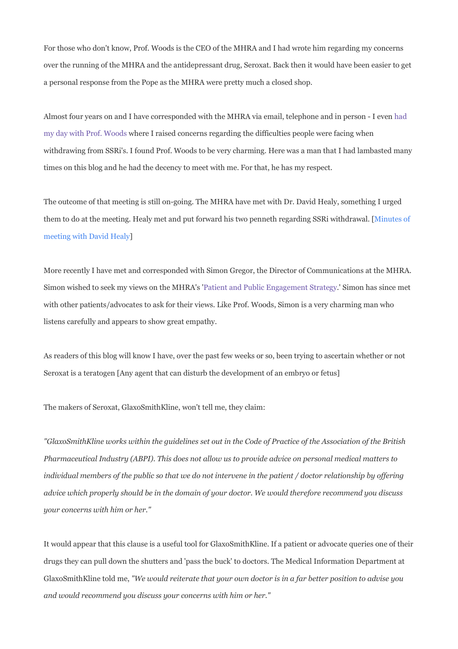For those who don't know, Prof. Woods is the CEO of the MHRA and I had wrote him regarding my concerns over the running of the MHRA and the antidepressant drug, Seroxat. Back then it would have been easier to get a personal response from the Pope as the MHRA were pretty much a closed shop.

Almost four years on and I have corresponded with the MHRA via email, telephone and in person - I even [had](http://www.mhra.gov.uk/home/groups/comms-sp/documents/publication/con025700.pdf) [my day with Prof.](http://www.mhra.gov.uk/home/groups/comms-sp/documents/publication/con025700.pdf) Woods where I raised concerns regarding the difficulties people were facing when withdrawing from SSRi's. I found Prof. Woods to be very charming. Here was a man that I had lambasted many times on this blog and he had the decency to meet with me. For that, he has my respect.

The outcome of that meeting is still on-going. The MHRA have met with Dr. David Healy, something I urged them to do at the meeting. Healy met and put forward his two penneth regarding SSRi withdrawal. [\[Minutes of](http://www.mhra.gov.uk/home/groups/comms-sp/documents/publication/con054475.pdf) [meeting with David Healy\]](http://www.mhra.gov.uk/home/groups/comms-sp/documents/publication/con054475.pdf)

More recently I have met and corresponded with Simon Gregor, the Director of Communications at the MHRA. Simon wished to seek my views on the MHRA's '[Patient and Public Engagement Strategy.](http://www.mhra.gov.uk/home/groups/comms-sp/documents/publication/con041519.pdf)' Simon has since met with other patients/advocates to ask for their views. Like Prof. Woods, Simon is a very charming man who listens carefully and appears to show great empathy.

As readers of this blog will know I have, over the past few weeks or so, been trying to ascertain whether or not Seroxat is a teratogen [Any agent that can disturb the development of an embryo or fetus]

The makers of Seroxat, GlaxoSmithKline, won't tell me, they claim:

*"GlaxoSmithKline works within the guidelines set out in the Code of Practice of the Association of the British Pharmaceutical Industry (ABPI). This does not allow us to provide advice on personal medical matters to individual members of the public so that we do not intervene in the patient / doctor relationship by offering advice which properly should be in the domain of your doctor. We would therefore recommend you discuss your concerns with him or her."*

It would appear that this clause is a useful tool for GlaxoSmithKline. If a patient or advocate queries one of their drugs they can pull down the shutters and 'pass the buck' to doctors. The Medical Information Department at GlaxoSmithKline told me, *"We would reiterate that your own doctor is in a far better position to advise you and would recommend you discuss your concerns with him or her."*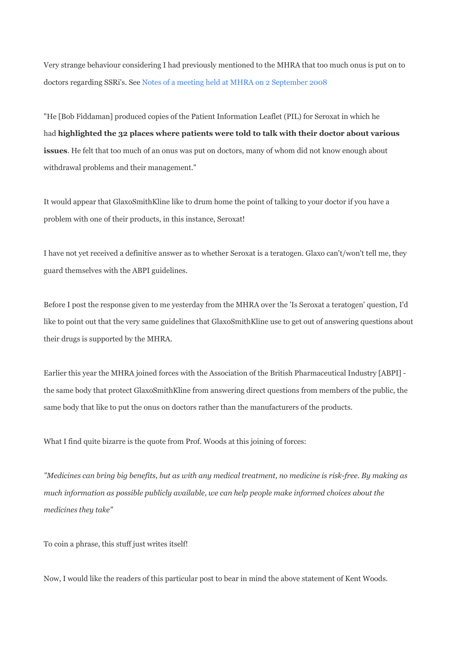Very strange behaviour considering I had previously mentioned to the MHRA that too much onus is put on to doctors regarding SSRi's. See Notes of a [meeting held at MHRA on 2 September 2008](http://www.mhra.gov.uk/home/idcplg?IdcService=GET_FILE&dDocName=CON025700&RevisionSelectionMethod=Latest)

"He [Bob Fiddaman] produced copies of the Patient Information Leaflet (PIL) for Seroxat in which he had **highlighted the 32 places where patients were told to talk with their doctor about various issues**. He felt that too much of an onus was put on doctors, many of whom did not know enough about withdrawal problems and their management."

It would appear that GlaxoSmithKline like to drum home the point of talking to your doctor if you have a problem with one of their products, in this instance, Seroxat!

I have not yet received a definitive answer as to whether Seroxat is a teratogen. Glaxo can't/won't tell me, they guard themselves with the ABPI guidelines.

Before I post the response given to me yesterday from the MHRA over the 'Is Seroxat a teratogen' question, I'd like to point out that the very same guidelines that GlaxoSmithKline use to get out of answering questions about their drugs is supported by the MHRA.

Earlier this year the MHRA joined forces with the Association of the British Pharmaceutical Industry [ABPI] the same body that protect GlaxoSmithKline from answering direct questions from members of the public, the same body that like to put the onus on doctors rather than the manufacturers of the products.

What I find quite bizarre is the quote from Prof. Woods at this joining of forces:

*"Medicines can bring big benefits, but as with any medical treatment, no medicine is risk-free. By making as much information as possible publicly available, we can help people make informed choices about the medicines they take"*

To coin a phrase, this stuff just writes itself!

Now, I would like the readers of this particular post to bear in mind the above statement of Kent Woods.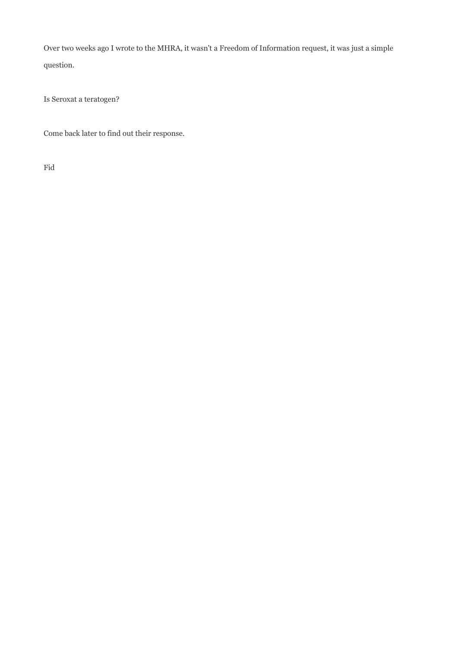Over two weeks ago I wrote to the MHRA, it wasn't a Freedom of Information request, it was just a simple question.

Is Seroxat a teratogen?

Come back later to find out their response.

Fid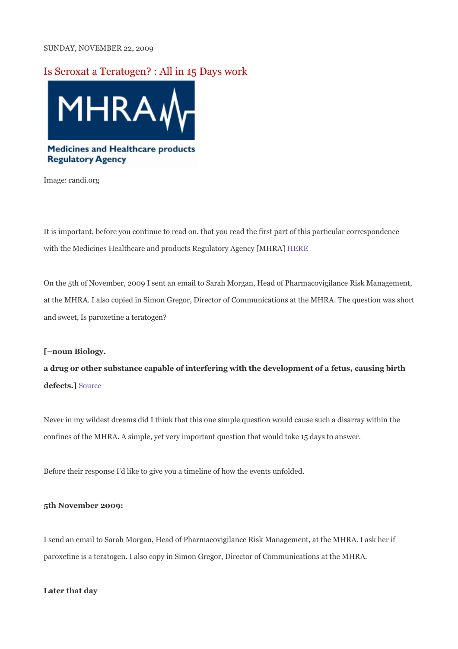### SUNDAY, NOVEMBER 22, 2009

### [Is Seroxat a Teratogen? : All in 15](http://fiddaman.blogspot.com/2009/11/is-seroxat-teratogen-all-in-16-days.html) Days work



Image: randi.org

It is important, before you continue to read on, that you read the first part of this particular correspondence with the Medicines Healthcare and products Regulatory Agency [MHRA] [HERE](http://fiddaman.blogspot.com/2009/11/response-from-mhra-is-seroxatpaxil.html)

On the 5th of November, 2009 I sent an email to Sarah Morgan, Head of Pharmacovigilance Risk Management, at the MHRA. I also copied in Simon Gregor, Director of Communications at the MHRA. The question was short and sweet, Is paroxetine a teratogen?

### **[–noun Biology.**

**a drug or other substance capable of interfering with the development of a fetus, causing birth defects.]** [Source](http://dictionary.reference.com/browse/teratogen)

Never in my wildest dreams did I think that this one simple question would cause such a disarray within the confines of the MHRA. A simple, yet very important question that would take 15 days to answer.

Before their response I'd like to give you a timeline of how the events unfolded.

### **5th November 2009:**

I send an email to Sarah Morgan, Head of Pharmacovigilance Risk Management, at the MHRA. I ask her if paroxetine is a teratogen. I also copy in Simon Gregor, Director of Communications at the MHRA.

### **Later that day**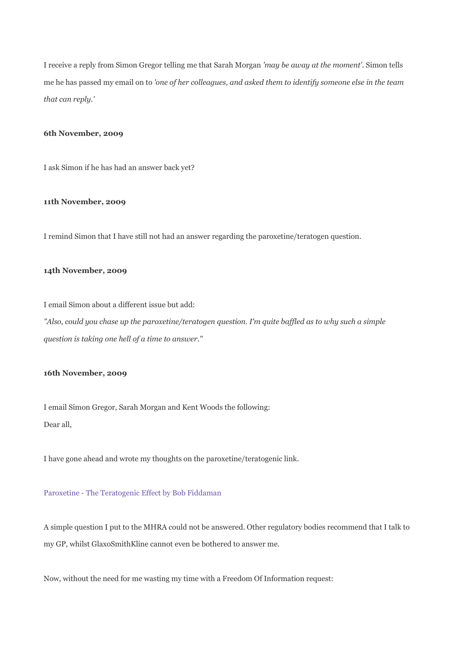I receive a reply from Simon Gregor telling me that Sarah Morgan *'may be away at the moment'*. Simon tells me he has passed my email on to *'one of her colleagues, and asked them to identify someone else in the team that can reply.'*

### **6th November, 2009**

I ask Simon if he has had an answer back yet?

### **11th November, 2009**

I remind Simon that I have still not had an answer regarding the paroxetine/teratogen question.

### **14th November, 2009**

I email Simon about a different issue but add:

*"Also, could you chase up the paroxetine/teratogen question. I'm quite baffled as to why such a simple question is taking one hell of a time to answer."*

### **16th November, 2009**

I email Simon Gregor, Sarah Morgan and Kent Woods the following: Dear all,

I have gone ahead and wrote my thoughts on the paroxetine/teratogenic link.

### [Paroxetine - The Teratogenic Effect by Bob Fiddaman](http://fiddaman.blogspot.com/2009/11/paroxetine-teratogenic-effect-by-bob.html)

A simple question I put to the MHRA could not be answered. Other regulatory bodies recommend that I talk to my GP, whilst GlaxoSmithKline cannot even be bothered to answer me.

Now, without the need for me wasting my time with a Freedom Of Information request: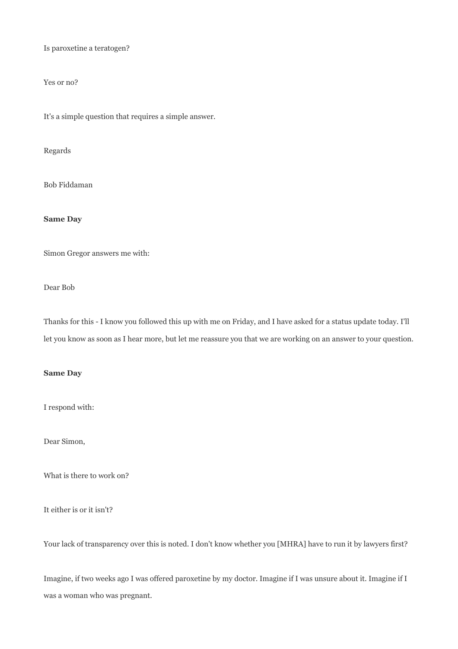Is paroxetine a teratogen?

Yes or no?

It's a simple question that requires a simple answer.

Regards

Bob Fiddaman

**Same Day**

Simon Gregor answers me with:

Dear Bob

Thanks for this - I know you followed this up with me on Friday, and I have asked for a status update today. I'll let you know as soon as I hear more, but let me reassure you that we are working on an answer to your question.

### **Same Day**

I respond with:

Dear Simon,

What is there to work on?

It either is or it isn't?

Your lack of transparency over this is noted. I don't know whether you [MHRA] have to run it by lawyers first?

Imagine, if two weeks ago I was offered paroxetine by my doctor. Imagine if I was unsure about it. Imagine if I was a woman who was pregnant.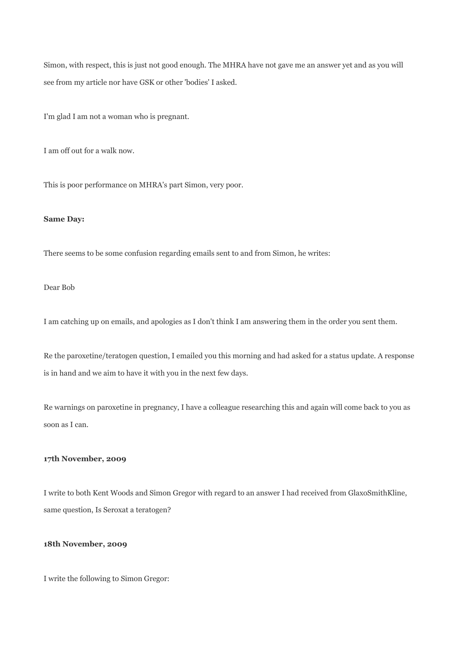Simon, with respect, this is just not good enough. The MHRA have not gave me an answer yet and as you will see from my article nor have GSK or other 'bodies' I asked.

I'm glad I am not a woman who is pregnant.

I am off out for a walk now.

This is poor performance on MHRA's part Simon, very poor.

### **Same Day:**

There seems to be some confusion regarding emails sent to and from Simon, he writes:

Dear Bob

I am catching up on emails, and apologies as I don't think I am answering them in the order you sent them.

Re the paroxetine/teratogen question, I emailed you this morning and had asked for a status update. A response is in hand and we aim to have it with you in the next few days.

Re warnings on paroxetine in pregnancy, I have a colleague researching this and again will come back to you as soon as I can.

### **17th November, 2009**

I write to both Kent Woods and Simon Gregor with regard to an answer I had received from GlaxoSmithKline, same question, Is Seroxat a teratogen?

### **18th November, 2009**

I write the following to Simon Gregor: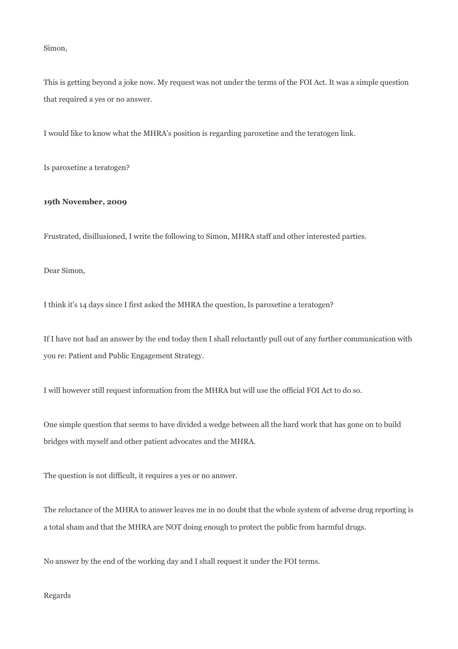Simon,

This is getting beyond a joke now. My request was not under the terms of the FOI Act. It was a simple question that required a yes or no answer.

I would like to know what the MHRA's position is regarding paroxetine and the teratogen link.

Is paroxetine a teratogen?

### **19th November, 2009**

Frustrated, disillusioned, I write the following to Simon, MHRA staff and other interested parties.

Dear Simon,

I think it's 14 days since I first asked the MHRA the question, Is paroxetine a teratogen?

If I have not had an answer by the end today then I shall reluctantly pull out of any further communication with you re: Patient and Public Engagement Strategy.

I will however still request information from the MHRA but will use the official FOI Act to do so.

One simple question that seems to have divided a wedge between all the hard work that has gone on to build bridges with myself and other patient advocates and the MHRA.

The question is not difficult, it requires a yes or no answer.

The reluctance of the MHRA to answer leaves me in no doubt that the whole system of adverse drug reporting is a total sham and that the MHRA are NOT doing enough to protect the public from harmful drugs.

No answer by the end of the working day and I shall request it under the FOI terms.

### Regards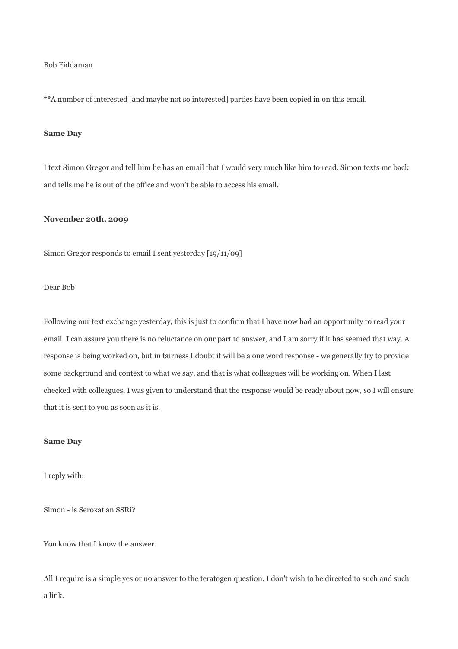### Bob Fiddaman

\*\*A number of interested [and maybe not so interested] parties have been copied in on this email.

### **Same Day**

I text Simon Gregor and tell him he has an email that I would very much like him to read. Simon texts me back and tells me he is out of the office and won't be able to access his email.

### **November 20th, 2009**

Simon Gregor responds to email I sent yesterday [19/11/09]

Dear Bob

Following our text exchange yesterday, this is just to confirm that I have now had an opportunity to read your email. I can assure you there is no reluctance on our part to answer, and I am sorry if it has seemed that way. A response is being worked on, but in fairness I doubt it will be a one word response - we generally try to provide some background and context to what we say, and that is what colleagues will be working on. When I last checked with colleagues, I was given to understand that the response would be ready about now, so I will ensure that it is sent to you as soon as it is.

### **Same Day**

I reply with:

Simon - is Seroxat an SSRi?

You know that I know the answer.

All I require is a simple yes or no answer to the teratogen question. I don't wish to be directed to such and such a link.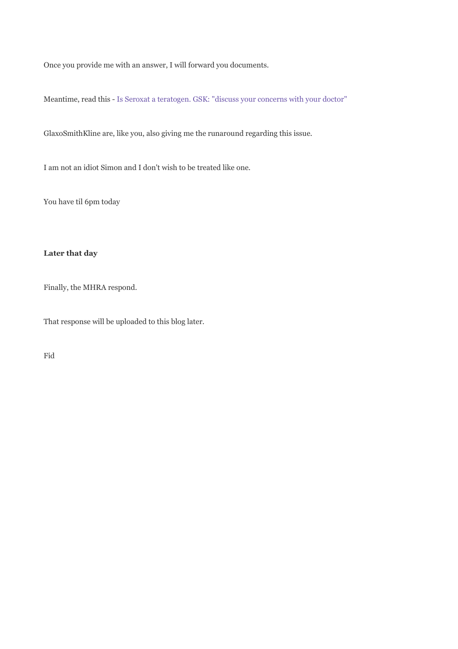Once you provide me with an answer, I will forward you documents.

Meantime, read this - [Is Seroxat a teratogen. GSK: "discuss your concerns](http://fiddaman.blogspot.com/2009/11/is-seroxat-teratogen-gsk-discuss-your.html) with your doctor"

GlaxoSmithKline are, like you, also giving me the runaround regarding this issue.

I am not an idiot Simon and I don't wish to be treated like one.

You have til 6pm today

### **Later that day**

Finally, the MHRA respond.

That response will be uploaded to this blog later.

Fid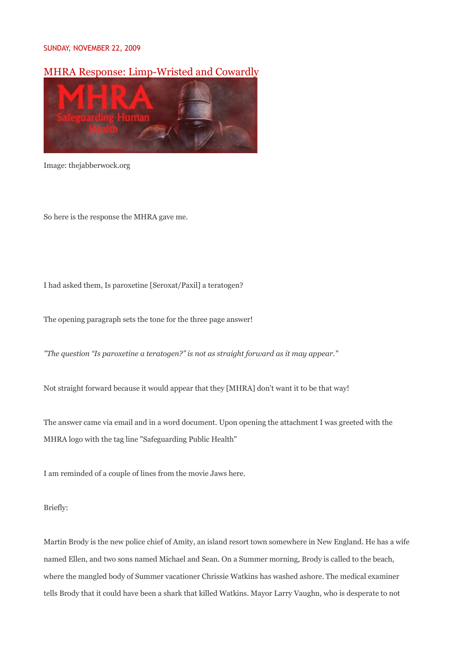### SUNDAY, NOVEMBER 22, 2009

### [MHRA Response: Limp-Wristed and Cowardly](http://fiddaman.blogspot.com/2009/11/mhra-response-limp-wristed-and-cowardly.html)



Image: thejabberwock.org

So here is the response the MHRA gave me.

I had asked them, Is paroxetine [Seroxat/Paxil] a teratogen?

The opening paragraph sets the tone for the three page answer!

*"The question "Is paroxetine a teratogen?" is not as straight forward as it may appear."*

Not straight forward because it would appear that they [MHRA] don't want it to be that way!

The answer came via email and in a word document. Upon opening the attachment I was greeted with the MHRA logo with the tag line "Safeguarding Public Health"

I am reminded of a couple of lines from the movie Jaws here.

Briefly:

Martin Brody is the new police chief of Amity, an island resort town somewhere in New England. He has a wife named Ellen, and two sons named Michael and Sean. On a Summer morning, Brody is called to the beach, where the mangled body of Summer vacationer Chrissie Watkins has washed ashore. The medical examiner tells Brody that it could have been a shark that killed Watkins. Mayor Larry Vaughn, who is desperate to not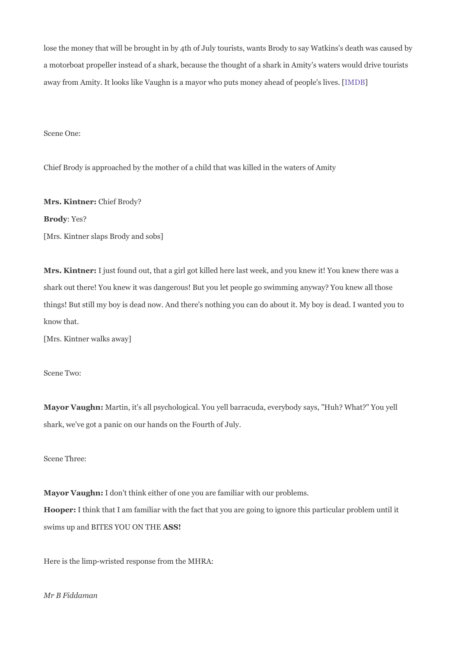lose the money that will be brought in by 4th of July tourists, wants Brody to say Watkins's death was caused by a motorboat propeller instead of a shark, because the thought of a shark in Amity's waters would drive tourists away from Amity. It looks like Vaughn is a mayor who puts money ahead of people's lives. [\[IMDB\]](http://www.imdb.com/title/tt0073195/plotsummary)

Scene One:

Chief Brody is approached by the mother of a child that was killed in the waters of Amity

**Mrs. Kintner:** Chief Brody? **Brody**: Yes? [Mrs. Kintner slaps Brody and sobs]

**Mrs. Kintner:** I just found out, that a girl got killed here last week, and you knew it! You knew there was a shark out there! You knew it was dangerous! But you let people go swimming anyway? You knew all those things! But still my boy is dead now. And there's nothing you can do about it. My boy is dead. I wanted you to know that.

[Mrs. Kintner walks away]

Scene Two:

**Mayor Vaughn:** Martin, it's all psychological. You yell barracuda, everybody says, "Huh? What?" You yell shark, we've got a panic on our hands on the Fourth of July.

Scene Three:

**Mayor Vaughn:** I don't think either of one you are familiar with our problems.

**Hooper:** I think that I am familiar with the fact that you are going to ignore this particular problem until it swims up and BITES YOU ON THE **ASS!**

Here is the limp-wristed response from the MHRA:

*Mr B Fiddaman*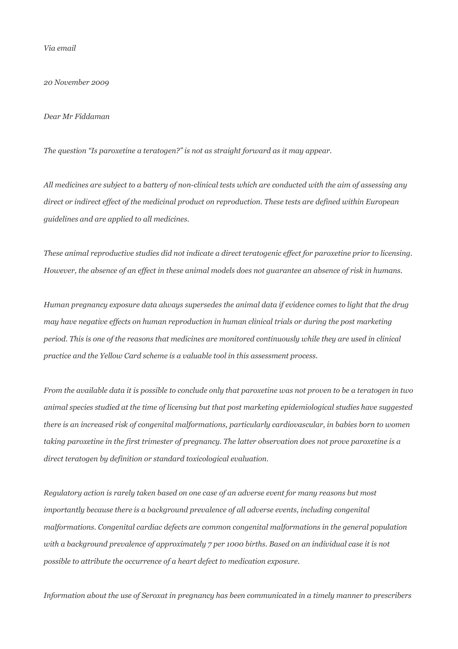*Via email*

*20 November 2009*

*Dear Mr Fiddaman*

*The question "Is paroxetine a teratogen?" is not as straight forward as it may appear.*

*All medicines are subject to a battery of non-clinical tests which are conducted with the aim of assessing any direct or indirect effect of the medicinal product on reproduction. These tests are defined within European guidelines and are applied to all medicines.*

*These animal reproductive studies did not indicate a direct teratogenic effect for paroxetine prior to licensing. However, the absence of an effect in these animal models does not guarantee an absence of risk in humans.*

*Human pregnancy exposure data always supersedes the animal data if evidence comes to light that the drug may have negative effects on human reproduction in human clinical trials or during the post marketing period. This is one of the reasons that medicines are monitored continuously while they are used in clinical practice and the Yellow Card scheme is a valuable tool in this assessment process.*

*From the available data it is possible to conclude only that paroxetine was not proven to be a teratogen in two animal species studied at the time of licensing but that post marketing epidemiological studies have suggested there is an increased risk of congenital malformations, particularly cardiovascular, in babies born to women taking paroxetine in the first trimester of pregnancy. The latter observation does not prove paroxetine is a direct teratogen by definition or standard toxicological evaluation.*

*Regulatory action is rarely taken based on one case of an adverse event for many reasons but most importantly because there is a background prevalence of all adverse events, including congenital malformations. Congenital cardiac defects are common congenital malformations in the general population with a background prevalence of approximately 7 per 1000 births. Based on an individual case it is not possible to attribute the occurrence of a heart defect to medication exposure.*

*Information about the use of Seroxat in pregnancy has been communicated in a timely manner to prescribers*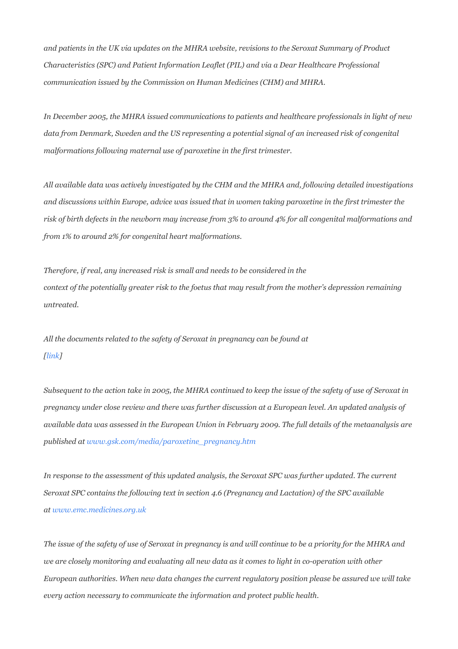*and patients in the UK via updates on the MHRA website, revisions to the Seroxat Summary of Product Characteristics (SPC) and Patient Information Leaflet (PIL) and via a Dear Healthcare Professional communication issued by the Commission on Human Medicines (CHM) and MHRA.*

*In December 2005, the MHRA issued communications to patients and healthcare professionals in light of new data from Denmark, Sweden and the US representing a potential signal of an increased risk of congenital malformations following maternal use of paroxetine in the first trimester.*

*All available data was actively investigated by the CHM and the MHRA and, following detailed investigations and discussions within Europe, advice was issued that in women taking paroxetine in the first trimester the risk of birth defects in the newborn may increase from 3% to around 4% for all congenital malformations and from 1% to around 2% for congenital heart malformations.*

*Therefore, if real, any increased risk is small and needs to be considered in the context of the potentially greater risk to the foetus that may result from the mother's depression remaining untreated.*

*All the documents related to the safety of Seroxat in pregnancy can be found at [\[link\]](http://www.mhra.gov.uk/Safetyinformation/Safetywarningsalertsandrecalls/Safetywarnin gsandmessagesformedicines/CON2022698.)*

*Subsequent to the action take in 2005, the MHRA continued to keep the issue of the safety of use of Seroxat in pregnancy under close review and there was further discussion at a European level. An updated analysis of available data was assessed in the European Union in February 2009. The full details of the metaanalysis are published at [www.gsk.com/media/paroxetine\\_pregnancy.htm](http://www.gsk.com/media/paroxetine_pregnancy.htm)*

*In response to the assessment of this updated analysis, the Seroxat SPC was further updated. The current Seroxat SPC contains the following text in section 4.6 (Pregnancy and Lactation) of the SPC available at [www.emc.medicines.org.uk](http://www.emc.medicines.org.uk/)*

*The issue of the safety of use of Seroxat in pregnancy is and will continue to be a priority for the MHRA and we are closely monitoring and evaluating all new data as it comes to light in co-operation with other European authorities. When new data changes the current regulatory position please be assured we will take every action necessary to communicate the information and protect public health.*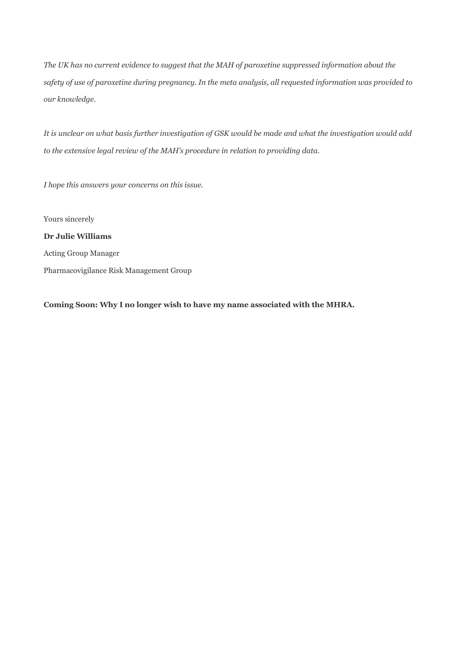*The UK has no current evidence to suggest that the MAH of paroxetine suppressed information about the safety of use of paroxetine during pregnancy. In the meta analysis, all requested information was provided to our knowledge.*

*It is unclear on what basis further investigation of GSK would be made and what the investigation would add to the extensive legal review of the MAH's procedure in relation to providing data.*

*I hope this answers your concerns on this issue*.

Yours sincerely **Dr Julie Williams** Acting Group Manager Pharmacovigilance Risk Management Group

**Coming Soon: Why I no longer wish to have my name associated with the MHRA.**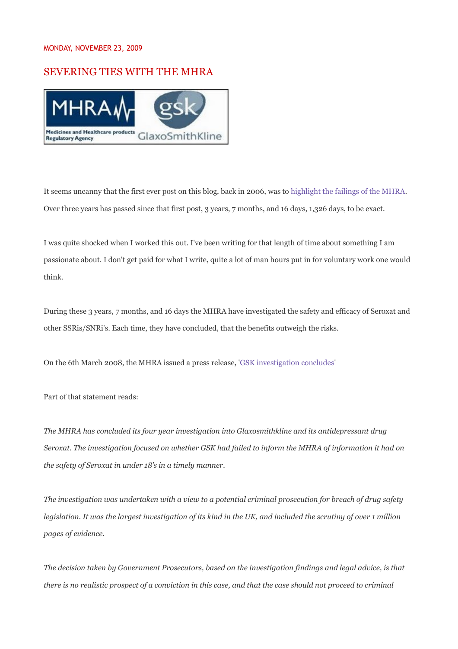### MONDAY, NOVEMBER 23, 2009

### [SEVERING TIES WITH THE MHRA](http://fiddaman.blogspot.com/2009/11/severing-ties-with-mhra.html)



It seems uncanny that the first ever post on this blog, back in 2006, was to [highlight the failings](http://fiddaman.blogspot.com/2006_04_07_archive.html) of the MHRA. Over three years has passed since that first post, 3 years, 7 months, and 16 days, 1,326 days, to be exact.

I was quite shocked when I worked this out. I've been writing for that length of time about something I am passionate about. I don't get paid for what I write, quite a lot of man hours put in for voluntary work one would think.

During these 3 years, 7 months, and 16 days the MHRA have investigated the safety and efficacy of Seroxat and other SSRis/SNRi's. Each time, they have concluded, that the benefits outweigh the risks.

On the 6th March 2008, the MHRA issued a press release, ['GSK investigation concludes'](http://www.mhra.gov.uk/home/idcplg?IdcService=GET_FILE&dDocName=CON014162&RevisionSelectionMethod=LatestReleased)

Part of that statement reads:

*The MHRA has concluded its four year investigation into Glaxosmithkline and its antidepressant drug Seroxat. The investigation focused on whether GSK had failed to inform the MHRA of information it had on the safety of Seroxat in under 18's in a timely manner.*

*The investigation was undertaken with a view to a potential criminal prosecution for breach of drug safety legislation. It was the largest investigation of its kind in the UK, and included the scrutiny of over 1 million pages of evidence.*

*The decision taken by Government Prosecutors, based on the investigation findings and legal advice, is that there is no realistic prospect of a conviction in this case, and that the case should not proceed to criminal*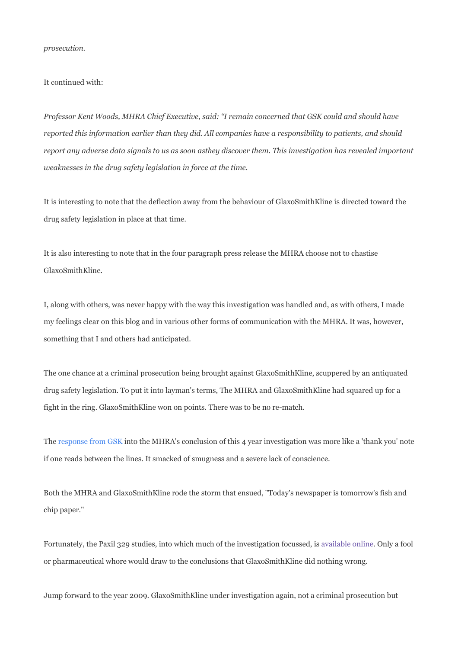*prosecution.*

It continued with:

*Professor Kent Woods, MHRA Chief Executive, said: "I remain concerned that GSK could and should have reported this information earlier than they did. All companies have a responsibility to patients, and should report any adverse data signals to us as soon asthey discover them. This investigation has revealed important weaknesses in the drug safety legislation in force at the time.*

It is interesting to note that the deflection away from the behaviour of GlaxoSmithKline is directed toward the drug safety legislation in place at that time.

It is also interesting to note that in the four paragraph press release the MHRA choose not to chastise GlaxoSmithKline.

I, along with others, was never happy with the way this investigation was handled and, as with others, I made my feelings clear on this blog and in various other forms of communication with the MHRA. It was, however, something that I and others had anticipated.

The one chance at a criminal prosecution being brought against GlaxoSmithKline, scuppered by an antiquated drug safety legislation. To put it into layman's terms, The MHRA and GlaxoSmithKline had squared up for a fight in the ring. GlaxoSmithKline won on points. There was to be no re-match.

The response [from GSK](http://www.mhra.gov.uk/home/idcplg?IdcService=GET_FILE&dDocName=CON014844&RevisionSelectionMethod=LatestReleased) into the MHRA's conclusion of this 4 year investigation was more like a 'thank you' note if one reads between the lines. It smacked of smugness and a severe lack of conscience.

Both the MHRA and GlaxoSmithKline rode the storm that ensued, "Today's newspaper is tomorrow's fish and chip paper."

Fortunately, the Paxil 329 studies, into which much of the investigation focussed, is [available online.](http://www.healthyskepticism.org/documents/PaxilStudy329.php) Only a fool or pharmaceutical whore would draw to the conclusions that GlaxoSmithKline did nothing wrong.

Jump forward to the year 2009. GlaxoSmithKline under investigation again, not a criminal prosecution but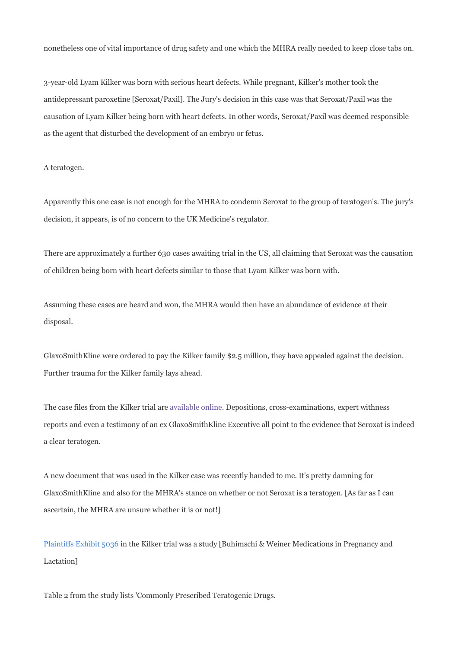nonetheless one of vital importance of drug safety and one which the MHRA really needed to keep close tabs on.

3-year-old Lyam Kilker was born with serious heart defects. While pregnant, Kilker's mother took the antidepressant paroxetine [Seroxat/Paxil]. The Jury's decision in this case was that Seroxat/Paxil was the causation of Lyam Kilker being born with heart defects. In other words, Seroxat/Paxil was deemed responsible as the agent that disturbed the development of an embryo or fetus.

### A teratogen.

Apparently this one case is not enough for the MHRA to condemn Seroxat to the group of teratogen's. The jury's decision, it appears, is of no concern to the UK Medicine's regulator.

There are approximately a further 630 cases awaiting trial in the US, all claiming that Seroxat was the causation of children being born with heart defects similar to those that Lyam Kilker was born with.

Assuming these cases are heard and won, the MHRA would then have an abundance of evidence at their disposal.

GlaxoSmithKline were ordered to pay the Kilker family \$2.5 million, they have appealed against the decision. Further trauma for the Kilker family lays ahead.

The case files from the Kilker trial are [available online.](http://fiddaman.blogspot.com/2009/10/kilker-v-claxosmithkline-all-documents.html) Depositions, cross-examinations, expert withness reports and even a testimony of an ex GlaxoSmithKline Executive all point to the evidence that Seroxat is indeed a clear teratogen.

A new document that was used in the Kilker case was recently handed to me. It's pretty damning for GlaxoSmithKline and also for the MHRA's stance on whether or not Seroxat is a teratogen. [As far as I can ascertain, the MHRA are unsure whether it is or not!]

[Plaintiffs Exhibit 5036](http://www.fileden.com/files/2008/5/6/1899375/2009 Yale Teratogens.PDF) in the Kilker trial was a study [Buhimschi & Weiner Medications in Pregnancy and Lactation]

Table 2 from the study lists 'Commonly Prescribed Teratogenic Drugs.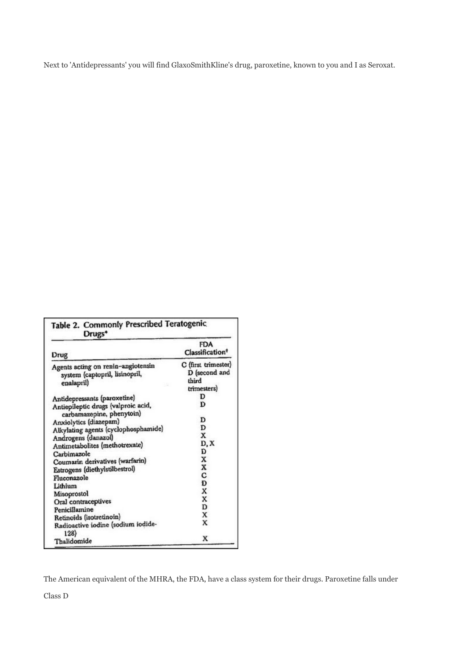Next to 'Antidepressants' you will find GlaxoSmithKline's drug, paroxetine, known to you and I as Seroxat.

| Table 2. Commonly Prescribed Teratogenic<br>Drugs <sup>*</sup>                     |                                                              |
|------------------------------------------------------------------------------------|--------------------------------------------------------------|
| Drug                                                                               | <b>FDA</b><br>Classification <sup>+</sup>                    |
| Agents acting on renin-angiotensin<br>system (captopril, lisinopril,<br>enalapril) | C (first trimester)<br>D (second and<br>third<br>trimesters) |
| Antidepressants (paroxetine)                                                       | D                                                            |
| Antiepileptic drugs (valproic acid,<br>carbamazepine, phenytoin)                   | D                                                            |
| Anxiolytics (diazepam)                                                             | D                                                            |
| Alkylating agents (cyclophosphamide)                                               | D                                                            |
| Androgens (danazol)                                                                | х                                                            |
| Antimetabolites (methotrexate)                                                     | D, X                                                         |
| Carbimazole                                                                        | D                                                            |
| Coumarin derivatives (warfarin)                                                    | х                                                            |
| Estrogens (diethylstilbestrol)                                                     | х                                                            |
| Fluconazole                                                                        | с                                                            |
| Lithium                                                                            | D                                                            |
| Misoprostol                                                                        | x                                                            |
| Oral contraceptives                                                                | x                                                            |
| Penicillamine                                                                      | D                                                            |
| Retinoids (isotretinoin)                                                           | х                                                            |
| Radioactive iodine (sodium iodide-<br>128)                                         | х                                                            |
| Thalidomide                                                                        | х                                                            |

The American equivalent of the MHRA, the FDA, have a class system for their drugs. Paroxetine falls under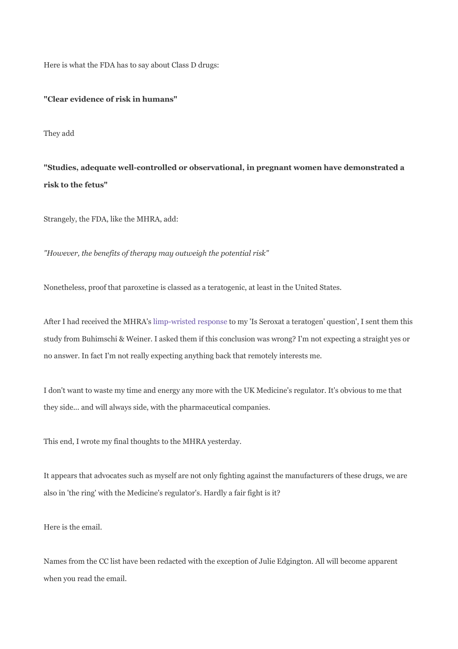Here is what the FDA has to say about Class D drugs:

**"Clear evidence of risk in humans"**

They add

**"Studies, adequate well-controlled or observational, in pregnant women have demonstrated a risk to the fetus"**

Strangely, the FDA, like the MHRA, add:

*"However, the benefits of therapy may outweigh the potential risk"*

Nonetheless, proof that paroxetine is classed as a teratogenic, at least in the United States.

After I had received the MHRA's [limp-wristed response](http://fiddaman.blogspot.com/2009/11/mhra-response-limp-wristed-and-cowardly.html) to my 'Is Seroxat a teratogen' question', I sent them this study from Buhimschi & Weiner. I asked them if this conclusion was wrong? I'm not expecting a straight yes or no answer. In fact I'm not really expecting anything back that remotely interests me.

I don't want to waste my time and energy any more with the UK Medicine's regulator. It's obvious to me that they side... and will always side, with the pharmaceutical companies.

This end, I wrote my final thoughts to the MHRA yesterday.

It appears that advocates such as myself are not only fighting against the manufacturers of these drugs, we are also in 'the ring' with the Medicine's regulator's. Hardly a fair fight is it?

Here is the email.

Names from the CC list have been redacted with the exception of Julie Edgington. All will become apparent when you read the email.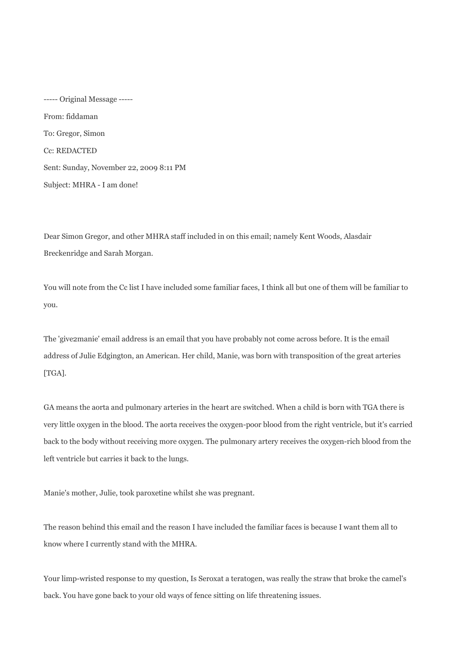----- Original Message ----- From: fiddaman To: Gregor, Simon Cc: REDACTED Sent: Sunday, November 22, 2009 8:11 PM Subject: MHRA - I am done!

Dear Simon Gregor, and other MHRA staff included in on this email; namely Kent Woods, Alasdair Breckenridge and Sarah Morgan.

You will note from the Cc list I have included some familiar faces, I think all but one of them will be familiar to you.

The 'give2manie' email address is an email that you have probably not come across before. It is the email address of Julie Edgington, an American. Her child, Manie, was born with transposition of the great arteries [TGA].

GA means the aorta and pulmonary arteries in the heart are switched. When a child is born with TGA there is very little oxygen in the blood. The aorta receives the oxygen-poor blood from the right ventricle, but it's carried back to the body without receiving more oxygen. The pulmonary artery receives the oxygen-rich blood from the left ventricle but carries it back to the lungs.

Manie's mother, Julie, took paroxetine whilst she was pregnant.

The reason behind this email and the reason I have included the familiar faces is because I want them all to know where I currently stand with the MHRA.

Your limp-wristed response to my question, Is Seroxat a teratogen, was really the straw that broke the camel's back. You have gone back to your old ways of fence sitting on life threatening issues.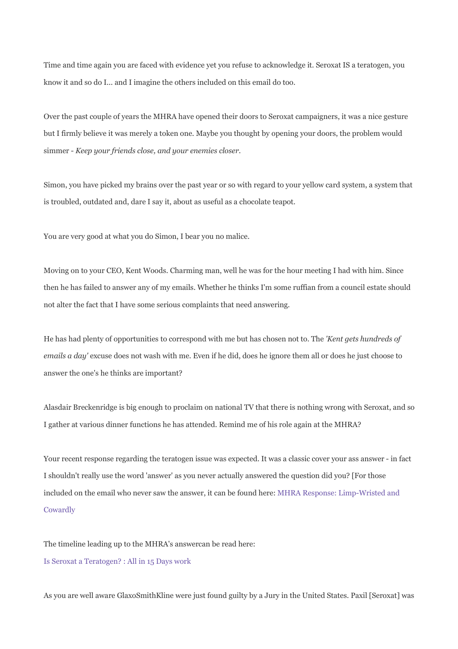Time and time again you are faced with evidence yet you refuse to acknowledge it. Seroxat IS a teratogen, you know it and so do I... and I imagine the others included on this email do too.

Over the past couple of years the MHRA have opened their doors to Seroxat campaigners, it was a nice gesture but I firmly believe it was merely a token one. Maybe you thought by opening your doors, the problem would simmer - *Keep your friends close, and your enemies closer.*

Simon, you have picked my brains over the past year or so with regard to your yellow card system, a system that is troubled, outdated and, dare I say it, about as useful as a chocolate teapot.

You are very good at what you do Simon, I bear you no malice.

Moving on to your CEO, Kent Woods. Charming man, well he was for the hour meeting I had with him. Since then he has failed to answer any of my emails. Whether he thinks I'm some ruffian from a council estate should not alter the fact that I have some serious complaints that need answering.

He has had plenty of opportunities to correspond with me but has chosen not to. The *'Kent gets hundreds of emails a day'* excuse does not wash with me. Even if he did, does he ignore them all or does he just choose to answer the one's he thinks are important?

Alasdair Breckenridge is big enough to proclaim on national TV that there is nothing wrong with Seroxat, and so I gather at various dinner functions he has attended. Remind me of his role again at the MHRA?

Your recent response regarding the teratogen issue was expected. It was a classic cover your ass answer - in fact I shouldn't really use the word 'answer' as you never actually answered the question did you? [For those included on the email who never saw the answer, it can be found here: [MHRA Response: Limp-Wristed and](http://fiddaman.blogspot.com/2009/11/mhra-response-limp-wristed-and-cowardly.html) **[Cowardly](http://fiddaman.blogspot.com/2009/11/mhra-response-limp-wristed-and-cowardly.html)** 

The timeline leading up to the MHRA's answercan be read here:

[Is Seroxat a Teratogen? : All in 15 Days](http://fiddaman.blogspot.com/2009/11/is-seroxat-teratogen-all-in-16-days.html) work

As you are well aware GlaxoSmithKline were just found guilty by a Jury in the United States. Paxil [Seroxat] was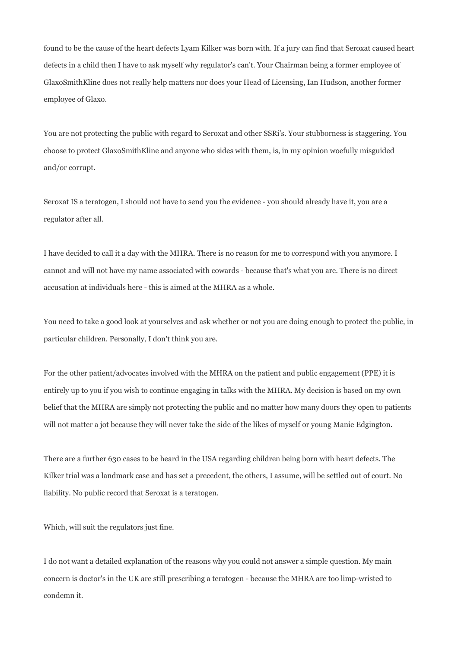found to be the cause of the heart defects Lyam Kilker was born with. If a jury can find that Seroxat caused heart defects in a child then I have to ask myself why regulator's can't. Your Chairman being a former employee of GlaxoSmithKline does not really help matters nor does your Head of Licensing, Ian Hudson, another former employee of Glaxo.

You are not protecting the public with regard to Seroxat and other SSRi's. Your stubborness is staggering. You choose to protect GlaxoSmithKline and anyone who sides with them, is, in my opinion woefully misguided and/or corrupt.

Seroxat IS a teratogen, I should not have to send you the evidence - you should already have it, you are a regulator after all.

I have decided to call it a day with the MHRA. There is no reason for me to correspond with you anymore. I cannot and will not have my name associated with cowards - because that's what you are. There is no direct accusation at individuals here - this is aimed at the MHRA as a whole.

You need to take a good look at yourselves and ask whether or not you are doing enough to protect the public, in particular children. Personally, I don't think you are.

For the other patient/advocates involved with the MHRA on the patient and public engagement (PPE) it is entirely up to you if you wish to continue engaging in talks with the MHRA. My decision is based on my own belief that the MHRA are simply not protecting the public and no matter how many doors they open to patients will not matter a jot because they will never take the side of the likes of myself or young Manie Edgington.

There are a further 630 cases to be heard in the USA regarding children being born with heart defects. The Kilker trial was a landmark case and has set a precedent, the others, I assume, will be settled out of court. No liability. No public record that Seroxat is a teratogen.

Which, will suit the regulators just fine.

I do not want a detailed explanation of the reasons why you could not answer a simple question. My main concern is doctor's in the UK are still prescribing a teratogen - because the MHRA are too limp-wristed to condemn it.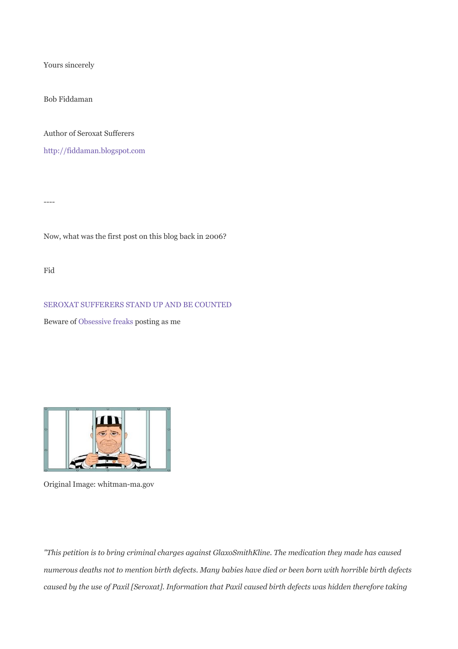Yours sincerely

Bob Fiddaman

Author of Seroxat Sufferers

[http://fiddaman.blogspot.com](http://fiddaman.blogspot.com/)

----

Now, what was the first post on this blog back in 2006?

Fid

### [SEROXAT SUFFERERS STAND UP AND BE COUNTED](http://fiddaman.blogspot.com/)

Beware of [Obsessive freaks](http://strangfordbryce.blogspot.com/) posting as me



Original Image: whitman-ma.gov

*"This petition is to bring criminal charges against GlaxoSmithKline. The medication they made has caused numerous deaths not to mention birth defects. Many babies have died or been born with horrible birth defects caused by the use of Paxil [Seroxat]. Information that Paxil caused birth defects was hidden therefore taking*